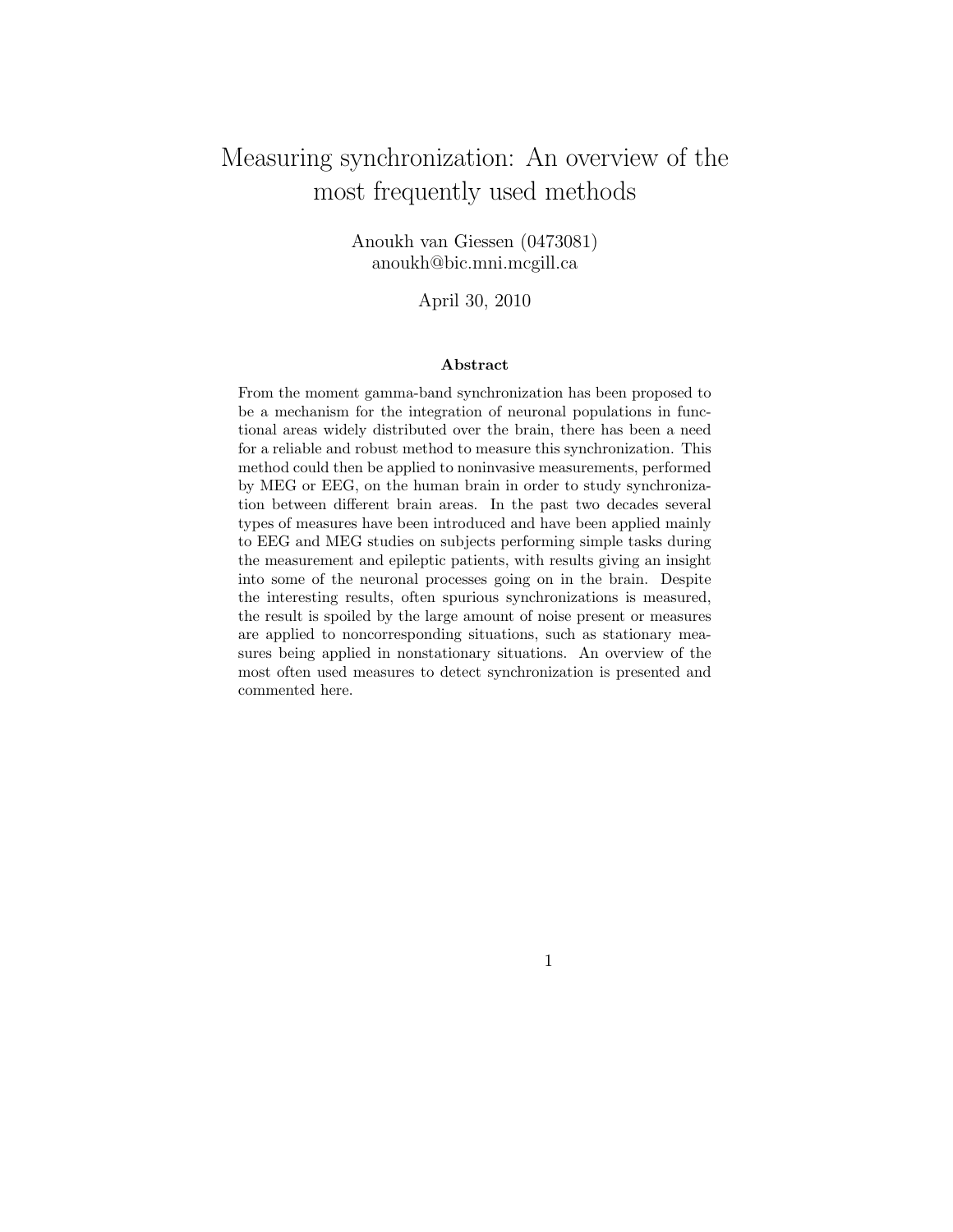# Measuring synchronization: An overview of the most frequently used methods

Anoukh van Giessen (0473081) anoukh@bic.mni.mcgill.ca

April 30, 2010

#### Abstract

From the moment gamma-band synchronization has been proposed to be a mechanism for the integration of neuronal populations in functional areas widely distributed over the brain, there has been a need for a reliable and robust method to measure this synchronization. This method could then be applied to noninvasive measurements, performed by MEG or EEG, on the human brain in order to study synchronization between different brain areas. In the past two decades several types of measures have been introduced and have been applied mainly to EEG and MEG studies on subjects performing simple tasks during the measurement and epileptic patients, with results giving an insight into some of the neuronal processes going on in the brain. Despite the interesting results, often spurious synchronizations is measured, the result is spoiled by the large amount of noise present or measures are applied to noncorresponding situations, such as stationary measures being applied in nonstationary situations. An overview of the most often used measures to detect synchronization is presented and commented here.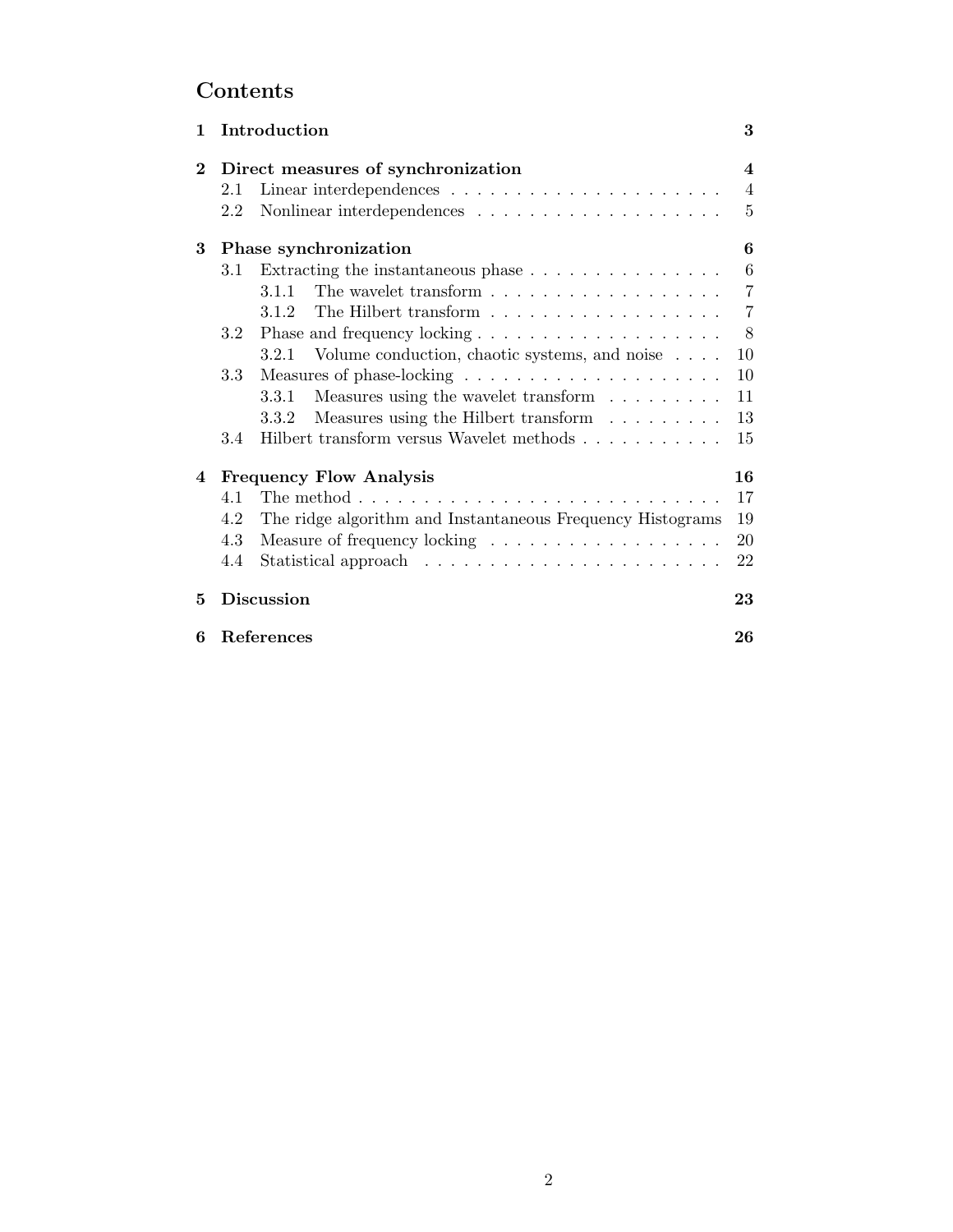# Contents

| 1        |                                | Introduction                                                                | 3                       |
|----------|--------------------------------|-----------------------------------------------------------------------------|-------------------------|
| $\bf{2}$ |                                | Direct measures of synchronization                                          | $\overline{\mathbf{4}}$ |
|          | 2.1                            |                                                                             | $\overline{4}$          |
|          | 2.2                            |                                                                             | 5                       |
| 3        | Phase synchronization          |                                                                             | 6                       |
|          | 3.1                            | Extracting the instantaneous phase $\dots \dots \dots \dots \dots$          | $\,6\,$                 |
|          |                                | 3.1.1                                                                       | $\overline{7}$          |
|          |                                | 3.1.2                                                                       | $\overline{7}$          |
|          | 3.2                            |                                                                             | $8\phantom{.}$          |
|          |                                | Volume conduction, chaotic systems, and noise<br>3.2.1                      | 10                      |
|          | 3.3                            |                                                                             | 10                      |
|          |                                | Measures using the wavelet transform<br>3.3.1                               | 11                      |
|          |                                | Measures using the Hilbert transform<br>3.3.2                               | 13                      |
|          | 3.4                            | Hilbert transform versus Wavelet methods $\ldots \ldots \ldots \ldots$      | 15                      |
| 4        | <b>Frequency Flow Analysis</b> |                                                                             | 16                      |
|          | 4.1                            | The method $\ldots \ldots \ldots \ldots \ldots \ldots \ldots \ldots \ldots$ | 17                      |
|          | 4.2                            | The ridge algorithm and Instantaneous Frequency Histograms                  | 19                      |
|          | 4.3                            |                                                                             | 20                      |
|          | 4.4                            |                                                                             | 22                      |
| 5        | <b>Discussion</b>              |                                                                             | 23                      |
| 6        |                                | References                                                                  | 26                      |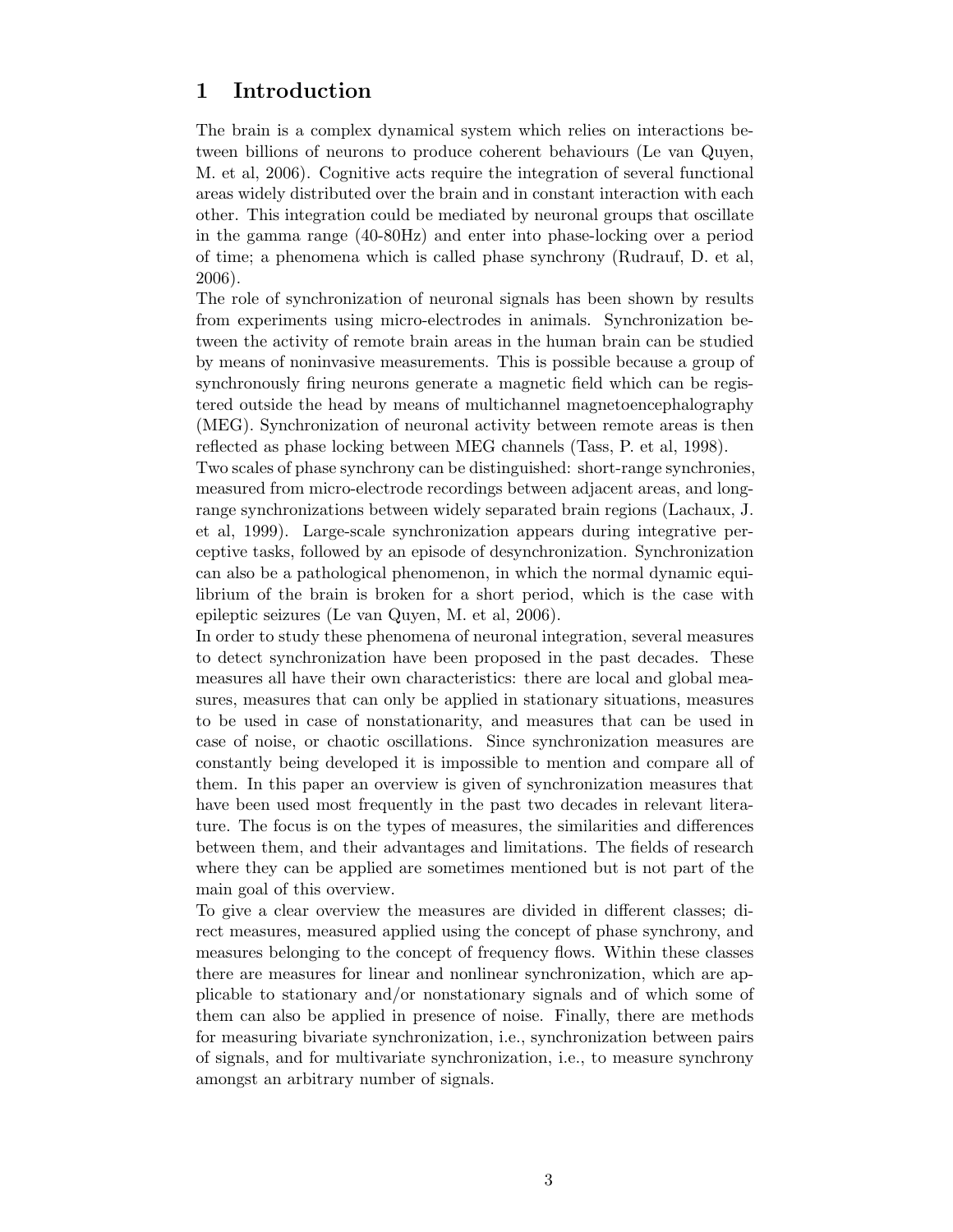# 1 Introduction

The brain is a complex dynamical system which relies on interactions between billions of neurons to produce coherent behaviours (Le van Quyen, M. et al, 2006). Cognitive acts require the integration of several functional areas widely distributed over the brain and in constant interaction with each other. This integration could be mediated by neuronal groups that oscillate in the gamma range (40-80Hz) and enter into phase-locking over a period of time; a phenomena which is called phase synchrony (Rudrauf, D. et al, 2006).

The role of synchronization of neuronal signals has been shown by results from experiments using micro-electrodes in animals. Synchronization between the activity of remote brain areas in the human brain can be studied by means of noninvasive measurements. This is possible because a group of synchronously firing neurons generate a magnetic field which can be registered outside the head by means of multichannel magnetoencephalography (MEG). Synchronization of neuronal activity between remote areas is then reflected as phase locking between MEG channels (Tass, P. et al, 1998).

Two scales of phase synchrony can be distinguished: short-range synchronies, measured from micro-electrode recordings between adjacent areas, and longrange synchronizations between widely separated brain regions (Lachaux, J. et al, 1999). Large-scale synchronization appears during integrative perceptive tasks, followed by an episode of desynchronization. Synchronization can also be a pathological phenomenon, in which the normal dynamic equilibrium of the brain is broken for a short period, which is the case with epileptic seizures (Le van Quyen, M. et al, 2006).

In order to study these phenomena of neuronal integration, several measures to detect synchronization have been proposed in the past decades. These measures all have their own characteristics: there are local and global measures, measures that can only be applied in stationary situations, measures to be used in case of nonstationarity, and measures that can be used in case of noise, or chaotic oscillations. Since synchronization measures are constantly being developed it is impossible to mention and compare all of them. In this paper an overview is given of synchronization measures that have been used most frequently in the past two decades in relevant literature. The focus is on the types of measures, the similarities and differences between them, and their advantages and limitations. The fields of research where they can be applied are sometimes mentioned but is not part of the main goal of this overview.

To give a clear overview the measures are divided in different classes; direct measures, measured applied using the concept of phase synchrony, and measures belonging to the concept of frequency flows. Within these classes there are measures for linear and nonlinear synchronization, which are applicable to stationary and/or nonstationary signals and of which some of them can also be applied in presence of noise. Finally, there are methods for measuring bivariate synchronization, i.e., synchronization between pairs of signals, and for multivariate synchronization, i.e., to measure synchrony amongst an arbitrary number of signals.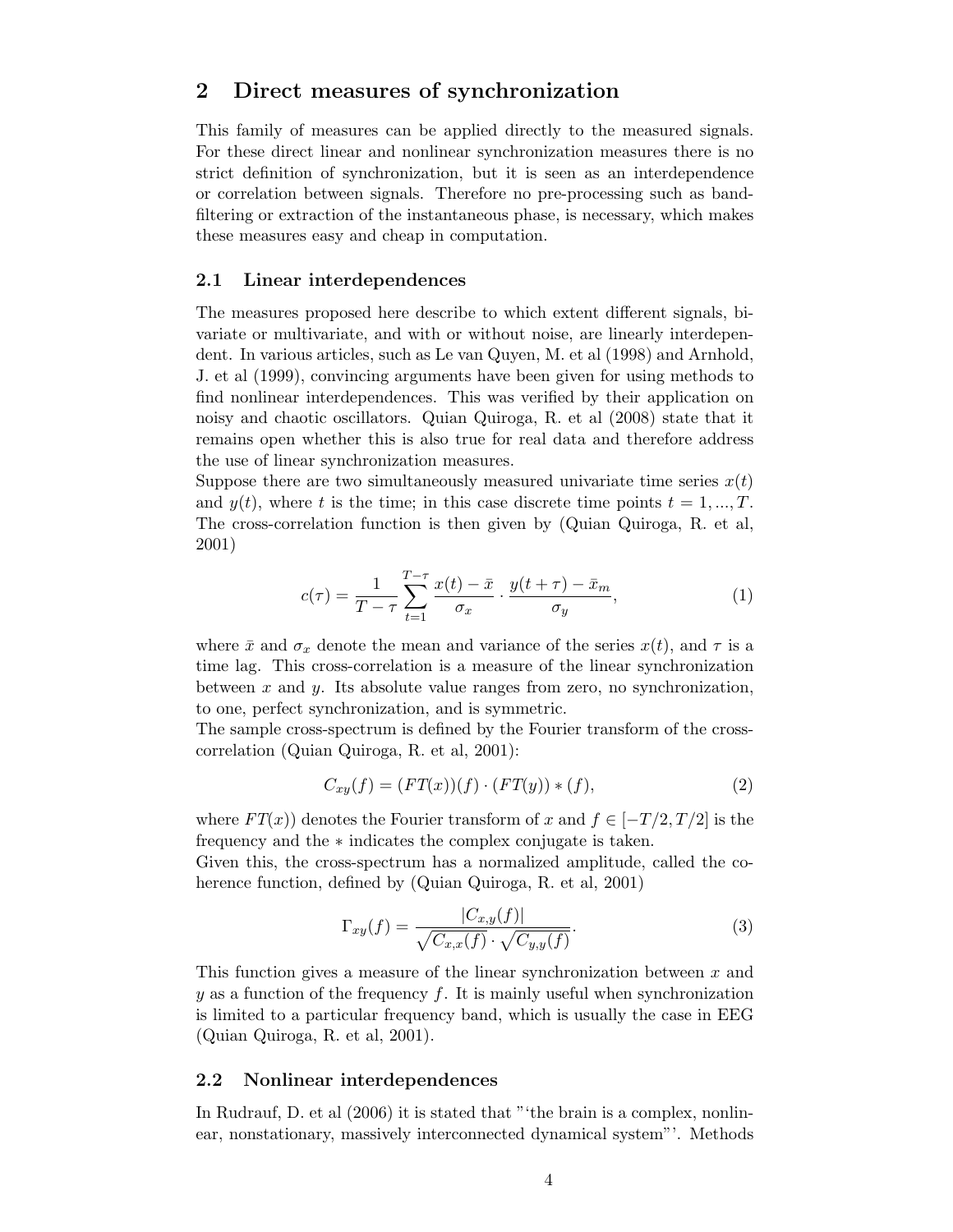## 2 Direct measures of synchronization

This family of measures can be applied directly to the measured signals. For these direct linear and nonlinear synchronization measures there is no strict definition of synchronization, but it is seen as an interdependence or correlation between signals. Therefore no pre-processing such as bandfiltering or extraction of the instantaneous phase, is necessary, which makes these measures easy and cheap in computation.

#### 2.1 Linear interdependences

The measures proposed here describe to which extent different signals, bivariate or multivariate, and with or without noise, are linearly interdependent. In various articles, such as Le van Quyen, M. et al (1998) and Arnhold, J. et al (1999), convincing arguments have been given for using methods to find nonlinear interdependences. This was verified by their application on noisy and chaotic oscillators. Quian Quiroga, R. et al (2008) state that it remains open whether this is also true for real data and therefore address the use of linear synchronization measures.

Suppose there are two simultaneously measured univariate time series  $x(t)$ and  $y(t)$ , where t is the time; in this case discrete time points  $t = 1, ..., T$ . The cross-correlation function is then given by (Quian Quiroga, R. et al, 2001)

$$
c(\tau) = \frac{1}{T - \tau} \sum_{t=1}^{T - \tau} \frac{x(t) - \bar{x}}{\sigma_x} \cdot \frac{y(t + \tau) - \bar{x}_m}{\sigma_y},
$$
(1)

where  $\bar{x}$  and  $\sigma_x$  denote the mean and variance of the series  $x(t)$ , and  $\tau$  is a time lag. This cross-correlation is a measure of the linear synchronization between x and y. Its absolute value ranges from zero, no synchronization, to one, perfect synchronization, and is symmetric.

The sample cross-spectrum is defined by the Fourier transform of the crosscorrelation (Quian Quiroga, R. et al, 2001):

$$
C_{xy}(f) = (FT(x))(f) \cdot (FT(y)) * (f), \qquad (2)
$$

where  $FT(x)$  denotes the Fourier transform of x and  $f \in [-T/2, T/2]$  is the frequency and the ∗ indicates the complex conjugate is taken.

Given this, the cross-spectrum has a normalized amplitude, called the coherence function, defined by (Quian Quiroga, R. et al, 2001)

$$
\Gamma_{xy}(f) = \frac{|C_{x,y}(f)|}{\sqrt{C_{x,x}(f)} \cdot \sqrt{C_{y,y}(f)}}.
$$
\n(3)

This function gives a measure of the linear synchronization between x and y as a function of the frequency f. It is mainly useful when synchronization is limited to a particular frequency band, which is usually the case in EEG (Quian Quiroga, R. et al, 2001).

#### 2.2 Nonlinear interdependences

In Rudrauf, D. et al (2006) it is stated that "'the brain is a complex, nonlinear, nonstationary, massively interconnected dynamical system"'. Methods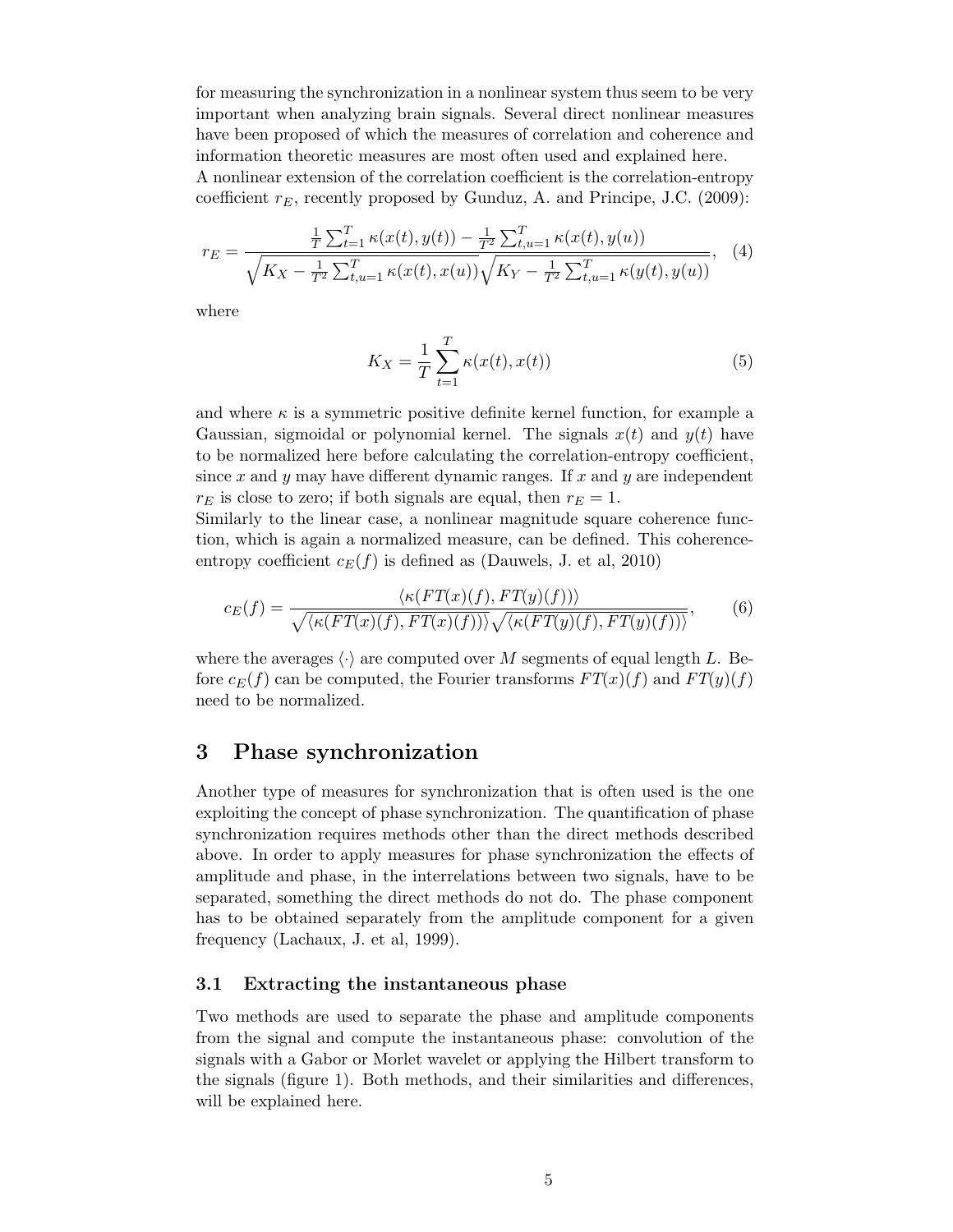for measuring the synchronization in a nonlinear system thus seem to be very important when analyzing brain signals. Several direct nonlinear measures have been proposed of which the measures of correlation and coherence and information theoretic measures are most often used and explained here. A nonlinear extension of the correlation coefficient is the correlation-entropy coefficient  $r_E$ , recently proposed by Gunduz, A. and Principe, J.C. (2009):

$$
r_E = \frac{\frac{1}{T} \sum_{t=1}^T \kappa(x(t), y(t)) - \frac{1}{T^2} \sum_{t,u=1}^T \kappa(x(t), y(u))}{\sqrt{K_X - \frac{1}{T^2} \sum_{t,u=1}^T \kappa(x(t), x(u))} \sqrt{K_Y - \frac{1}{T^2} \sum_{t,u=1}^T \kappa(y(t), y(u))}},
$$
(4)

where

$$
K_X = \frac{1}{T} \sum_{t=1}^{T} \kappa(x(t), x(t))
$$
\n(5)

and where  $\kappa$  is a symmetric positive definite kernel function, for example a Gaussian, sigmoidal or polynomial kernel. The signals  $x(t)$  and  $y(t)$  have to be normalized here before calculating the correlation-entropy coefficient, since x and y may have different dynamic ranges. If x and y are independent  $r_E$  is close to zero; if both signals are equal, then  $r_E = 1$ .

Similarly to the linear case, a nonlinear magnitude square coherence function, which is again a normalized measure, can be defined. This coherenceentropy coefficient  $c_E(f)$  is defined as (Dauwels, J. et al, 2010)

$$
c_E(f) = \frac{\langle \kappa(FT(x)(f), FT(y)(f)) \rangle}{\sqrt{\langle \kappa(FT(x)(f), FT(x)(f)) \rangle} \sqrt{\langle \kappa(FT(y)(f), FT(y)(f)) \rangle}},
$$
(6)

where the averages  $\langle \cdot \rangle$  are computed over M segments of equal length L. Before  $c_E(f)$  can be computed, the Fourier transforms  $FT(x)(f)$  and  $FT(y)(f)$ need to be normalized.

# 3 Phase synchronization

Another type of measures for synchronization that is often used is the one exploiting the concept of phase synchronization. The quantification of phase synchronization requires methods other than the direct methods described above. In order to apply measures for phase synchronization the effects of amplitude and phase, in the interrelations between two signals, have to be separated, something the direct methods do not do. The phase component has to be obtained separately from the amplitude component for a given frequency (Lachaux, J. et al, 1999).

#### 3.1 Extracting the instantaneous phase

Two methods are used to separate the phase and amplitude components from the signal and compute the instantaneous phase: convolution of the signals with a Gabor or Morlet wavelet or applying the Hilbert transform to the signals (figure 1). Both methods, and their similarities and differences, will be explained here.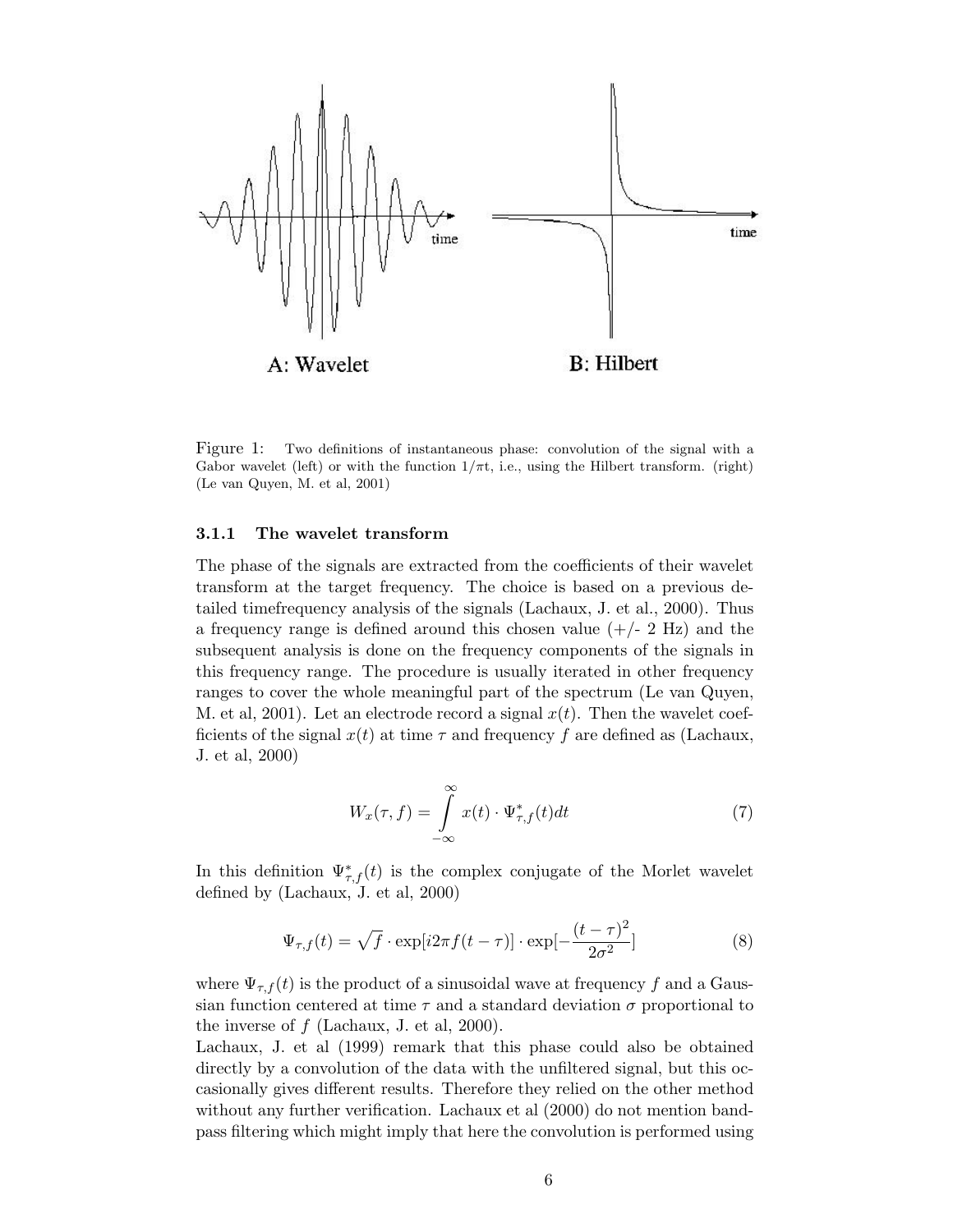

Figure 1: Two definitions of instantaneous phase: convolution of the signal with a Gabor wavelet (left) or with the function  $1/\pi t$ , i.e., using the Hilbert transform. (right) (Le van Quyen, M. et al, 2001)

#### 3.1.1 The wavelet transform

The phase of the signals are extracted from the coefficients of their wavelet transform at the target frequency. The choice is based on a previous detailed timefrequency analysis of the signals (Lachaux, J. et al., 2000). Thus a frequency range is defined around this chosen value  $(+/- 2 \text{ Hz})$  and the subsequent analysis is done on the frequency components of the signals in this frequency range. The procedure is usually iterated in other frequency ranges to cover the whole meaningful part of the spectrum (Le van Quyen, M. et al, 2001). Let an electrode record a signal  $x(t)$ . Then the wavelet coefficients of the signal  $x(t)$  at time  $\tau$  and frequency f are defined as (Lachaux, J. et al, 2000)

$$
W_x(\tau, f) = \int_{-\infty}^{\infty} x(t) \cdot \Psi_{\tau, f}^*(t) dt \tag{7}
$$

In this definition  $\Psi_{\tau,f}^*(t)$  is the complex conjugate of the Morlet wavelet defined by (Lachaux, J. et al, 2000)

$$
\Psi_{\tau,f}(t) = \sqrt{f} \cdot \exp[i2\pi f(t-\tau)] \cdot \exp[-\frac{(t-\tau)^2}{2\sigma^2}]
$$
\n(8)

where  $\Psi_{\tau,f}(t)$  is the product of a sinusoidal wave at frequency f and a Gaussian function centered at time  $\tau$  and a standard deviation  $\sigma$  proportional to the inverse of  $f$  (Lachaux, J. et al, 2000).

Lachaux, J. et al (1999) remark that this phase could also be obtained directly by a convolution of the data with the unfiltered signal, but this occasionally gives different results. Therefore they relied on the other method without any further verification. Lachaux et al (2000) do not mention bandpass filtering which might imply that here the convolution is performed using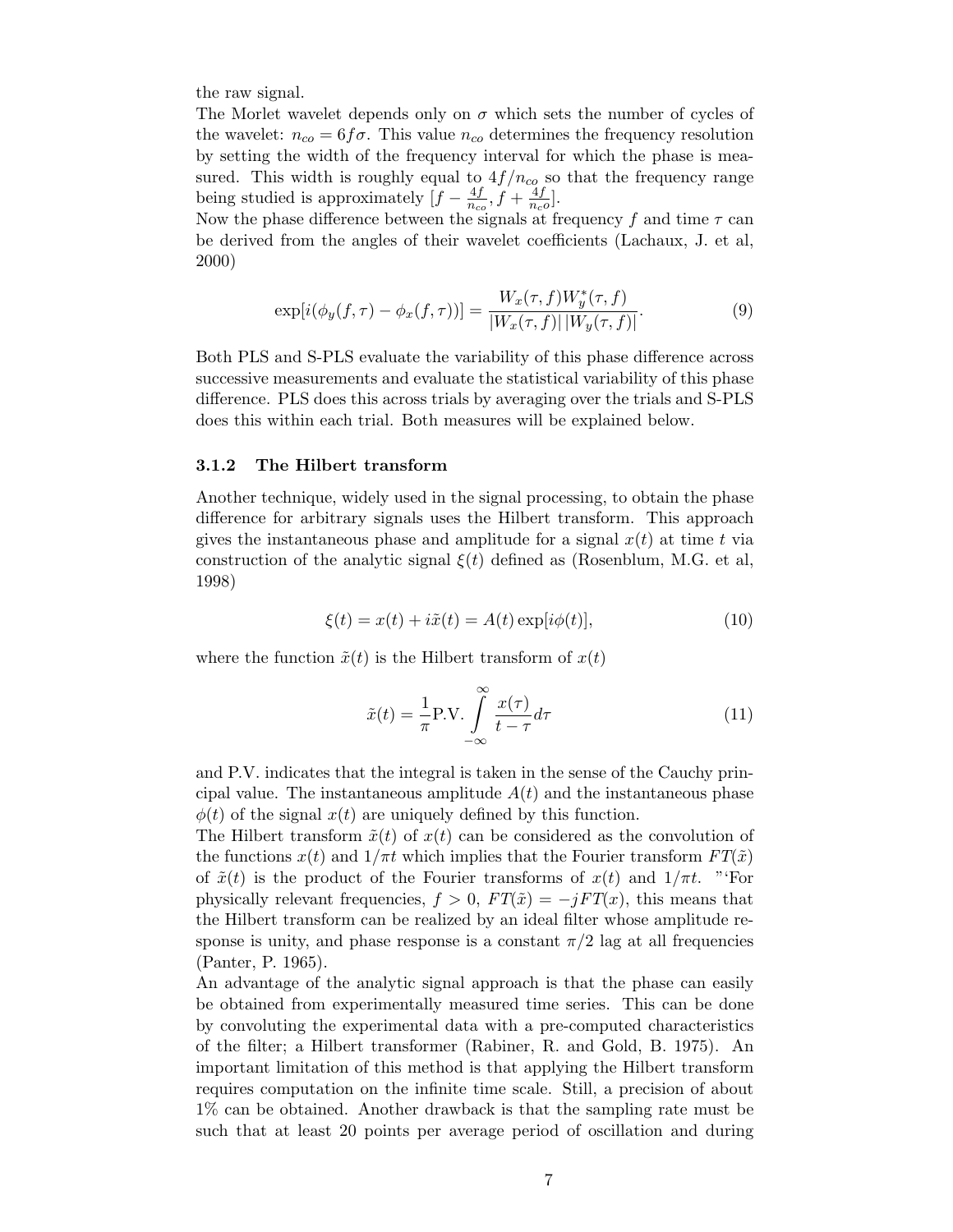the raw signal.

The Morlet wavelet depends only on  $\sigma$  which sets the number of cycles of the wavelet:  $n_{co} = 6f\sigma$ . This value  $n_{co}$  determines the frequency resolution by setting the width of the frequency interval for which the phase is measured. This width is roughly equal to  $4f/n_{co}$  so that the frequency range being studied is approximately  $[f - \frac{4f}{n}]$  $\frac{4f}{n_{co}}, f + \frac{4f}{n_{c}}$  $\frac{4f}{n_c\rho}$ .

Now the phase difference between the signals at frequency f and time  $\tau$  can be derived from the angles of their wavelet coefficients (Lachaux, J. et al, 2000)

$$
\exp[i(\phi_y(f,\tau) - \phi_x(f,\tau))] = \frac{W_x(\tau,f)W_y^*(\tau,f)}{|W_x(\tau,f)| |W_y(\tau,f)|}.
$$
\n(9)

Both PLS and S-PLS evaluate the variability of this phase difference across successive measurements and evaluate the statistical variability of this phase difference. PLS does this across trials by averaging over the trials and S-PLS does this within each trial. Both measures will be explained below.

#### 3.1.2 The Hilbert transform

Another technique, widely used in the signal processing, to obtain the phase difference for arbitrary signals uses the Hilbert transform. This approach gives the instantaneous phase and amplitude for a signal  $x(t)$  at time t via construction of the analytic signal  $\xi(t)$  defined as (Rosenblum, M.G. et al, 1998)

$$
\xi(t) = x(t) + i\tilde{x}(t) = A(t) \exp[i\phi(t)],\tag{10}
$$

where the function  $\tilde{x}(t)$  is the Hilbert transform of  $x(t)$ 

$$
\tilde{x}(t) = \frac{1}{\pi} \text{P.V.} \int_{-\infty}^{\infty} \frac{x(\tau)}{t - \tau} d\tau \tag{11}
$$

and P.V. indicates that the integral is taken in the sense of the Cauchy principal value. The instantaneous amplitude  $A(t)$  and the instantaneous phase  $\phi(t)$  of the signal  $x(t)$  are uniquely defined by this function.

The Hilbert transform  $\tilde{x}(t)$  of  $x(t)$  can be considered as the convolution of the functions  $x(t)$  and  $1/\pi t$  which implies that the Fourier transform  $FT(\tilde{x})$ of  $\tilde{x}(t)$  is the product of the Fourier transforms of  $x(t)$  and  $1/\pi t$ . "'For physically relevant frequencies,  $f > 0$ ,  $FT(\tilde{x}) = -jFT(x)$ , this means that the Hilbert transform can be realized by an ideal filter whose amplitude response is unity, and phase response is a constant  $\pi/2$  lag at all frequencies (Panter, P. 1965).

An advantage of the analytic signal approach is that the phase can easily be obtained from experimentally measured time series. This can be done by convoluting the experimental data with a pre-computed characteristics of the filter; a Hilbert transformer (Rabiner, R. and Gold, B. 1975). An important limitation of this method is that applying the Hilbert transform requires computation on the infinite time scale. Still, a precision of about 1% can be obtained. Another drawback is that the sampling rate must be such that at least 20 points per average period of oscillation and during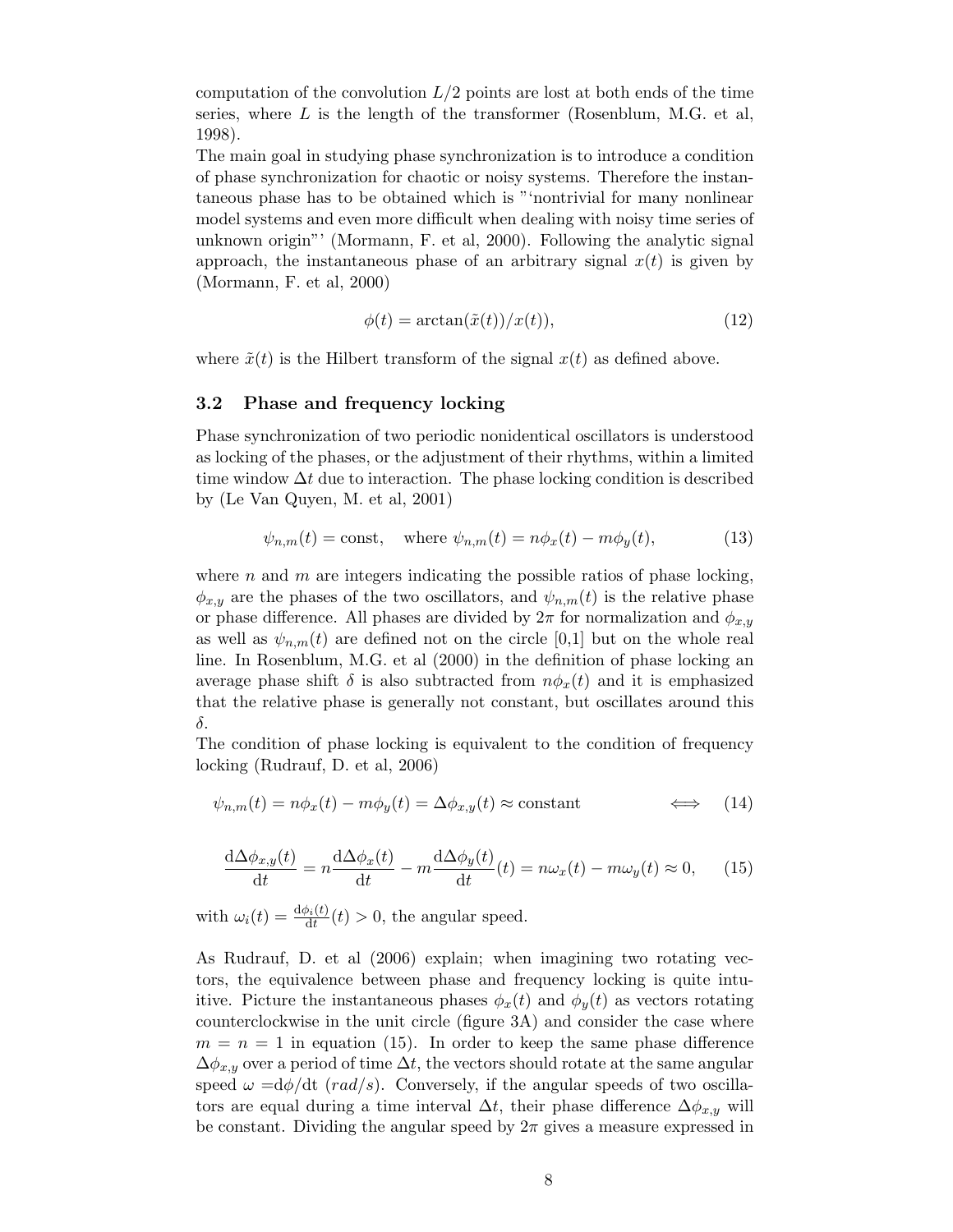computation of the convolution  $L/2$  points are lost at both ends of the time series, where  $L$  is the length of the transformer (Rosenblum, M.G. et al, 1998).

The main goal in studying phase synchronization is to introduce a condition of phase synchronization for chaotic or noisy systems. Therefore the instantaneous phase has to be obtained which is "'nontrivial for many nonlinear model systems and even more difficult when dealing with noisy time series of unknown origin"' (Mormann, F. et al, 2000). Following the analytic signal approach, the instantaneous phase of an arbitrary signal  $x(t)$  is given by (Mormann, F. et al, 2000)

$$
\phi(t) = \arctan(\tilde{x}(t))/x(t)),\tag{12}
$$

where  $\tilde{x}(t)$  is the Hilbert transform of the signal  $x(t)$  as defined above.

#### 3.2 Phase and frequency locking

Phase synchronization of two periodic nonidentical oscillators is understood as locking of the phases, or the adjustment of their rhythms, within a limited time window  $\Delta t$  due to interaction. The phase locking condition is described by (Le Van Quyen, M. et al, 2001)

$$
\psi_{n,m}(t) = \text{const}, \quad \text{where } \psi_{n,m}(t) = n\phi_x(t) - m\phi_y(t), \tag{13}
$$

where n and m are integers indicating the possible ratios of phase locking,  $\phi_{x,y}$  are the phases of the two oscillators, and  $\psi_{n,m}(t)$  is the relative phase or phase difference. All phases are divided by  $2\pi$  for normalization and  $\phi_{x,y}$ as well as  $\psi_{n,m}(t)$  are defined not on the circle [0,1] but on the whole real line. In Rosenblum, M.G. et al (2000) in the definition of phase locking an average phase shift  $\delta$  is also subtracted from  $n\phi_x(t)$  and it is emphasized that the relative phase is generally not constant, but oscillates around this δ.

The condition of phase locking is equivalent to the condition of frequency locking (Rudrauf, D. et al, 2006)

$$
\psi_{n,m}(t) = n\phi_x(t) - m\phi_y(t) = \Delta\phi_{x,y}(t) \approx \text{constant} \qquad \Longleftrightarrow \qquad (14)
$$

$$
\frac{\mathrm{d}\Delta\phi_{x,y}(t)}{\mathrm{d}t} = n\frac{\mathrm{d}\Delta\phi_x(t)}{\mathrm{d}t} - m\frac{\mathrm{d}\Delta\phi_y(t)}{\mathrm{d}t}(t) = n\omega_x(t) - m\omega_y(t) \approx 0,\qquad(15)
$$

with  $\omega_i(t) = \frac{d\phi_i(t)}{dt}(t) > 0$ , the angular speed.

As Rudrauf, D. et al (2006) explain; when imagining two rotating vectors, the equivalence between phase and frequency locking is quite intuitive. Picture the instantaneous phases  $\phi_x(t)$  and  $\phi_y(t)$  as vectors rotating counterclockwise in the unit circle (figure 3A) and consider the case where  $m = n = 1$  in equation (15). In order to keep the same phase difference  $\Delta\phi_{x,y}$  over a period of time  $\Delta t$ , the vectors should rotate at the same angular speed  $\omega = d\phi/dt$  (*rad/s*). Conversely, if the angular speeds of two oscillators are equal during a time interval  $\Delta t$ , their phase difference  $\Delta \phi_{x,y}$  will be constant. Dividing the angular speed by  $2\pi$  gives a measure expressed in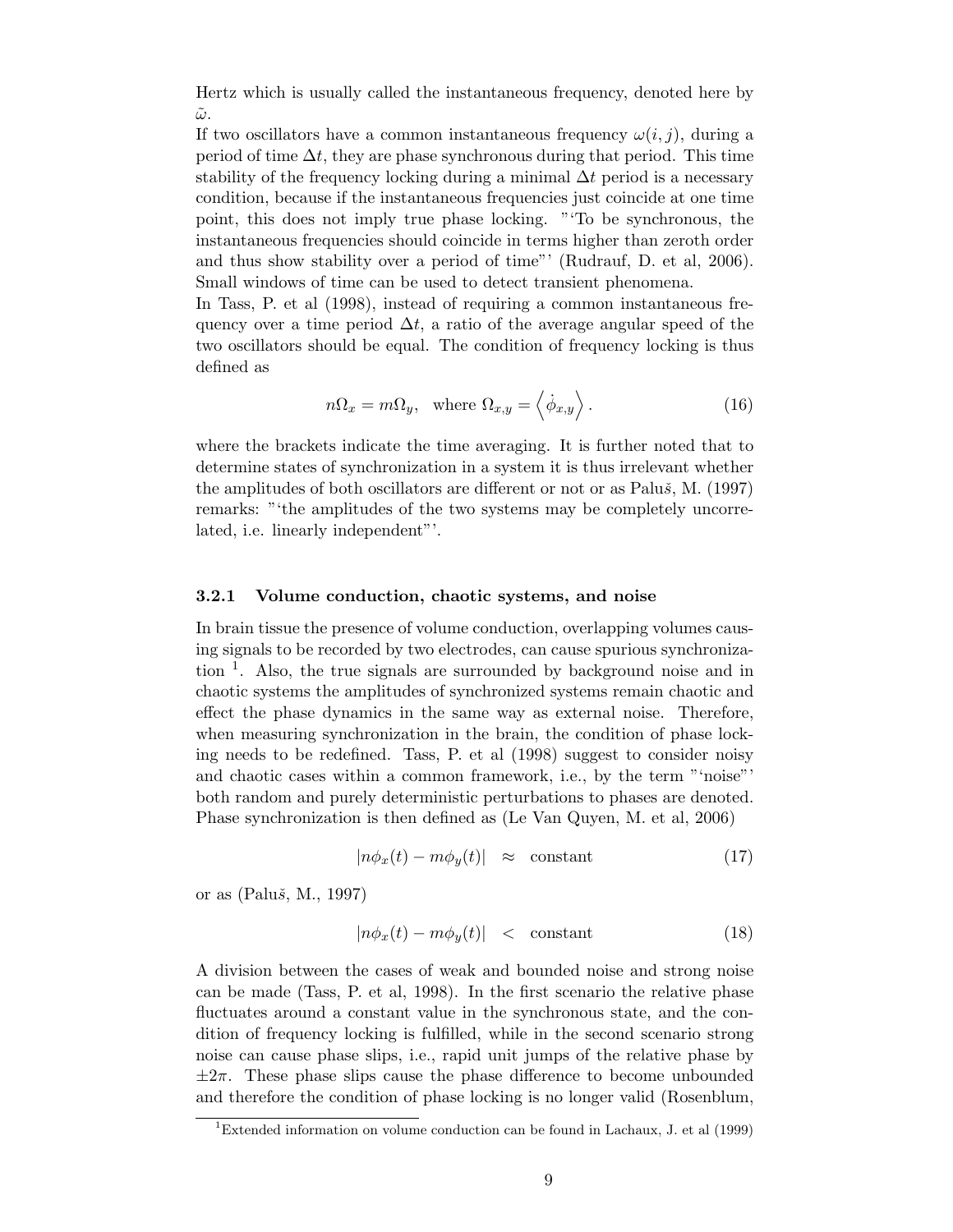Hertz which is usually called the instantaneous frequency, denoted here by  $\tilde{\omega}$ .

If two oscillators have a common instantaneous frequency  $\omega(i, j)$ , during a period of time  $\Delta t$ , they are phase synchronous during that period. This time stability of the frequency locking during a minimal  $\Delta t$  period is a necessary condition, because if the instantaneous frequencies just coincide at one time point, this does not imply true phase locking. "'To be synchronous, the instantaneous frequencies should coincide in terms higher than zeroth order and thus show stability over a period of time"' (Rudrauf, D. et al, 2006). Small windows of time can be used to detect transient phenomena.

In Tass, P. et al (1998), instead of requiring a common instantaneous frequency over a time period  $\Delta t$ , a ratio of the average angular speed of the two oscillators should be equal. The condition of frequency locking is thus defined as

$$
n\Omega_x = m\Omega_y, \text{ where } \Omega_{x,y} = \langle \dot{\phi}_{x,y} \rangle. \tag{16}
$$

where the brackets indicate the time averaging. It is further noted that to determine states of synchronization in a system it is thus irrelevant whether the amplitudes of both oscillators are different or not or as Palu $\check{s}$ , M. (1997) remarks: "'the amplitudes of the two systems may be completely uncorrelated, i.e. linearly independent"'.

#### 3.2.1 Volume conduction, chaotic systems, and noise

In brain tissue the presence of volume conduction, overlapping volumes causing signals to be recorded by two electrodes, can cause spurious synchronization <sup>1</sup>. Also, the true signals are surrounded by background noise and in chaotic systems the amplitudes of synchronized systems remain chaotic and effect the phase dynamics in the same way as external noise. Therefore, when measuring synchronization in the brain, the condition of phase locking needs to be redefined. Tass, P. et al (1998) suggest to consider noisy and chaotic cases within a common framework, i.e., by the term "'noise"' both random and purely deterministic perturbations to phases are denoted. Phase synchronization is then defined as (Le Van Quyen, M. et al, 2006)

$$
|n\phi_x(t) - m\phi_y(t)| \approx \text{ constant} \tag{17}
$$

or as  $(Paluš, M., 1997)$ 

$$
|n\phi_x(t) - m\phi_y(t)| \leq \text{constant} \tag{18}
$$

A division between the cases of weak and bounded noise and strong noise can be made (Tass, P. et al, 1998). In the first scenario the relative phase fluctuates around a constant value in the synchronous state, and the condition of frequency locking is fulfilled, while in the second scenario strong noise can cause phase slips, i.e., rapid unit jumps of the relative phase by  $\pm 2\pi$ . These phase slips cause the phase difference to become unbounded and therefore the condition of phase locking is no longer valid (Rosenblum,

<sup>&</sup>lt;sup>1</sup>Extended information on volume conduction can be found in Lachaux, J. et al  $(1999)$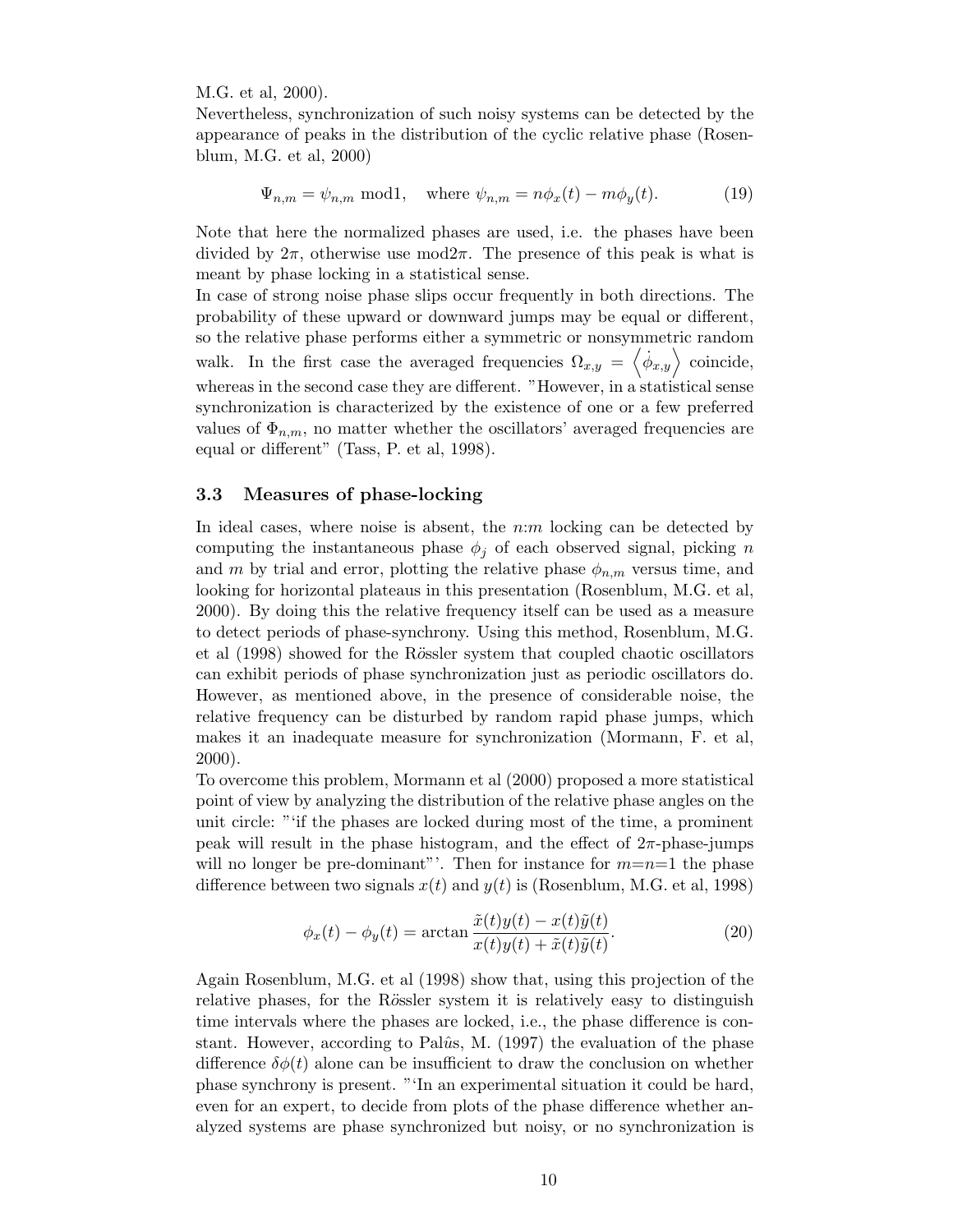M.G. et al, 2000).

Nevertheless, synchronization of such noisy systems can be detected by the appearance of peaks in the distribution of the cyclic relative phase (Rosenblum, M.G. et al, 2000)

$$
\Psi_{n,m} = \psi_{n,m} \text{ mod} 1, \quad \text{where } \psi_{n,m} = n\phi_x(t) - m\phi_y(t). \tag{19}
$$

Note that here the normalized phases are used, i.e. the phases have been divided by  $2\pi$ , otherwise use mod $2\pi$ . The presence of this peak is what is meant by phase locking in a statistical sense.

In case of strong noise phase slips occur frequently in both directions. The probability of these upward or downward jumps may be equal or different, so the relative phase performs either a symmetric or nonsymmetric random walk. In the first case the averaged frequencies  $\Omega_{x,y} = \langle \dot{\phi}_{x,y} \rangle$  coincide, whereas in the second case they are different. "However, in a statistical sense synchronization is characterized by the existence of one or a few preferred values of  $\Phi_{n,m}$ , no matter whether the oscillators' averaged frequencies are equal or different" (Tass, P. et al, 1998).

#### 3.3 Measures of phase-locking

In ideal cases, where noise is absent, the  $n:m$  locking can be detected by computing the instantaneous phase  $\phi_i$  of each observed signal, picking n and m by trial and error, plotting the relative phase  $\phi_{n,m}$  versus time, and looking for horizontal plateaus in this presentation (Rosenblum, M.G. et al, 2000). By doing this the relative frequency itself can be used as a measure to detect periods of phase-synchrony. Using this method, Rosenblum, M.G. et al (1998) showed for the Rössler system that coupled chaotic oscillators can exhibit periods of phase synchronization just as periodic oscillators do. However, as mentioned above, in the presence of considerable noise, the relative frequency can be disturbed by random rapid phase jumps, which makes it an inadequate measure for synchronization (Mormann, F. et al, 2000).

To overcome this problem, Mormann et al (2000) proposed a more statistical point of view by analyzing the distribution of the relative phase angles on the unit circle: "'if the phases are locked during most of the time, a prominent peak will result in the phase histogram, and the effect of  $2\pi$ -phase-jumps will no longer be pre-dominant". Then for instance for  $m=n=1$  the phase difference between two signals  $x(t)$  and  $y(t)$  is (Rosenblum, M.G. et al, 1998)

$$
\phi_x(t) - \phi_y(t) = \arctan\frac{\tilde{x}(t)y(t) - x(t)\tilde{y}(t)}{x(t)y(t) + \tilde{x}(t)\tilde{y}(t)}.
$$
\n(20)

Again Rosenblum, M.G. et al (1998) show that, using this projection of the relative phases, for the Rössler system it is relatively easy to distinguish time intervals where the phases are locked, i.e., the phase difference is constant. However, according to Pal $\hat{u}$ s, M. (1997) the evaluation of the phase difference  $\delta\phi(t)$  alone can be insufficient to draw the conclusion on whether phase synchrony is present. "'In an experimental situation it could be hard, even for an expert, to decide from plots of the phase difference whether analyzed systems are phase synchronized but noisy, or no synchronization is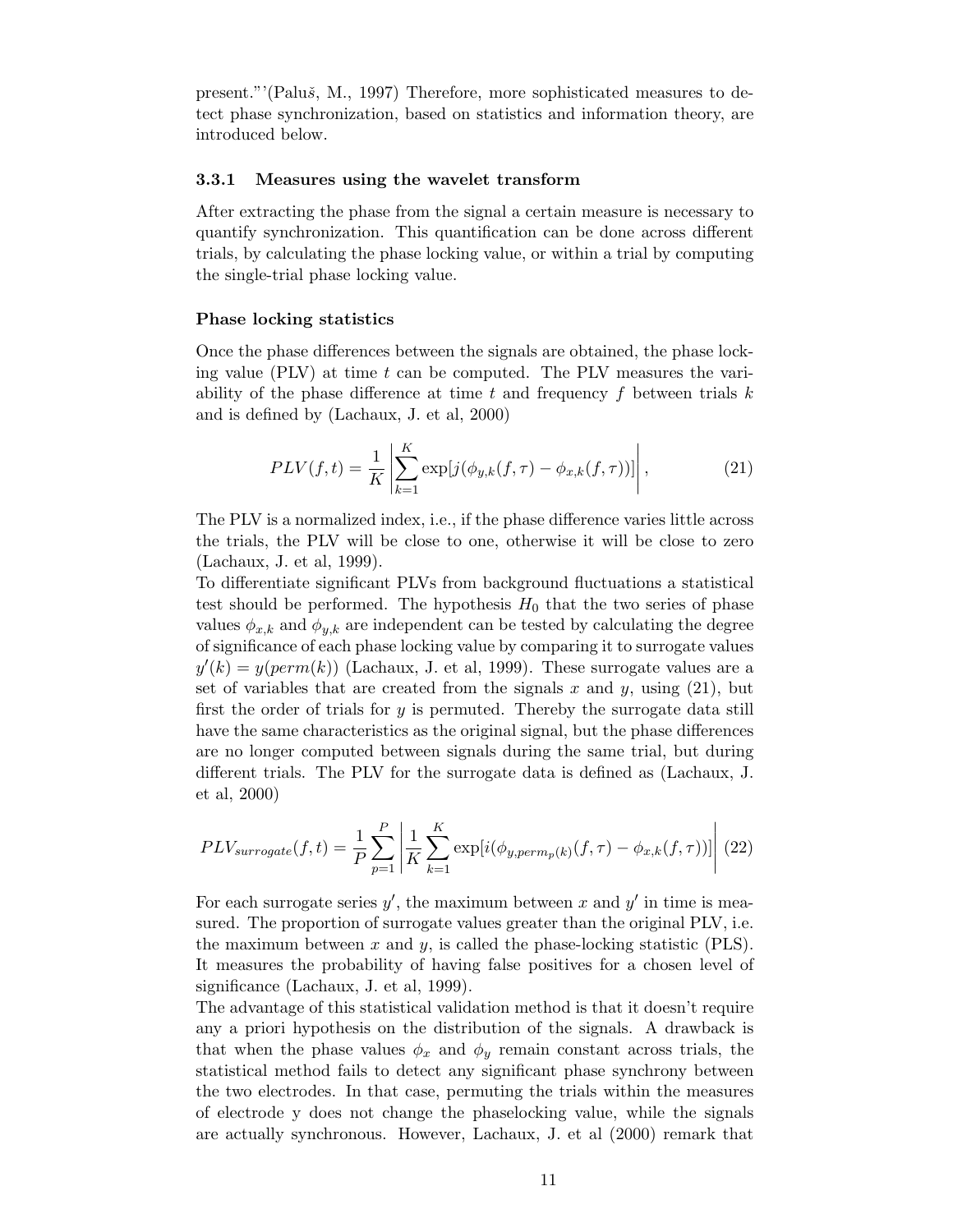present."'(Paluš, M., 1997) Therefore, more sophisticated measures to detect phase synchronization, based on statistics and information theory, are introduced below.

#### 3.3.1 Measures using the wavelet transform

After extracting the phase from the signal a certain measure is necessary to quantify synchronization. This quantification can be done across different trials, by calculating the phase locking value, or within a trial by computing the single-trial phase locking value.

#### Phase locking statistics

Once the phase differences between the signals are obtained, the phase locking value (PLV) at time  $t$  can be computed. The PLV measures the variability of the phase difference at time t and frequency f between trials  $k$ and is defined by (Lachaux, J. et al, 2000)

$$
PLV(f,t) = \frac{1}{K} \left| \sum_{k=1}^{K} \exp[j(\phi_{y,k}(f,\tau) - \phi_{x,k}(f,\tau))]\right|,
$$
\n(21)

The PLV is a normalized index, i.e., if the phase difference varies little across the trials, the PLV will be close to one, otherwise it will be close to zero (Lachaux, J. et al, 1999).

To differentiate significant PLVs from background fluctuations a statistical test should be performed. The hypothesis  $H_0$  that the two series of phase values  $\phi_{x,k}$  and  $\phi_{y,k}$  are independent can be tested by calculating the degree of significance of each phase locking value by comparing it to surrogate values  $y'(k) = y(perm(k))$  (Lachaux, J. et al, 1999). These surrogate values are a set of variables that are created from the signals x and y, using  $(21)$ , but first the order of trials for y is permuted. Thereby the surrogate data still have the same characteristics as the original signal, but the phase differences are no longer computed between signals during the same trial, but during different trials. The PLV for the surrogate data is defined as (Lachaux, J. et al, 2000)

$$
PLV_{surrogate}(f, t) = \frac{1}{P} \sum_{p=1}^{P} \left| \frac{1}{K} \sum_{k=1}^{K} \exp[i(\phi_{y, perm_p(k)}(f, \tau) - \phi_{x, k}(f, \tau))] \right| (22)
$$

For each surrogate series  $y'$ , the maximum between x and y' in time is measured. The proportion of surrogate values greater than the original PLV, i.e. the maximum between x and y, is called the phase-locking statistic (PLS). It measures the probability of having false positives for a chosen level of significance (Lachaux, J. et al, 1999).

The advantage of this statistical validation method is that it doesn't require any a priori hypothesis on the distribution of the signals. A drawback is that when the phase values  $\phi_x$  and  $\phi_y$  remain constant across trials, the statistical method fails to detect any significant phase synchrony between the two electrodes. In that case, permuting the trials within the measures of electrode y does not change the phaselocking value, while the signals are actually synchronous. However, Lachaux, J. et al (2000) remark that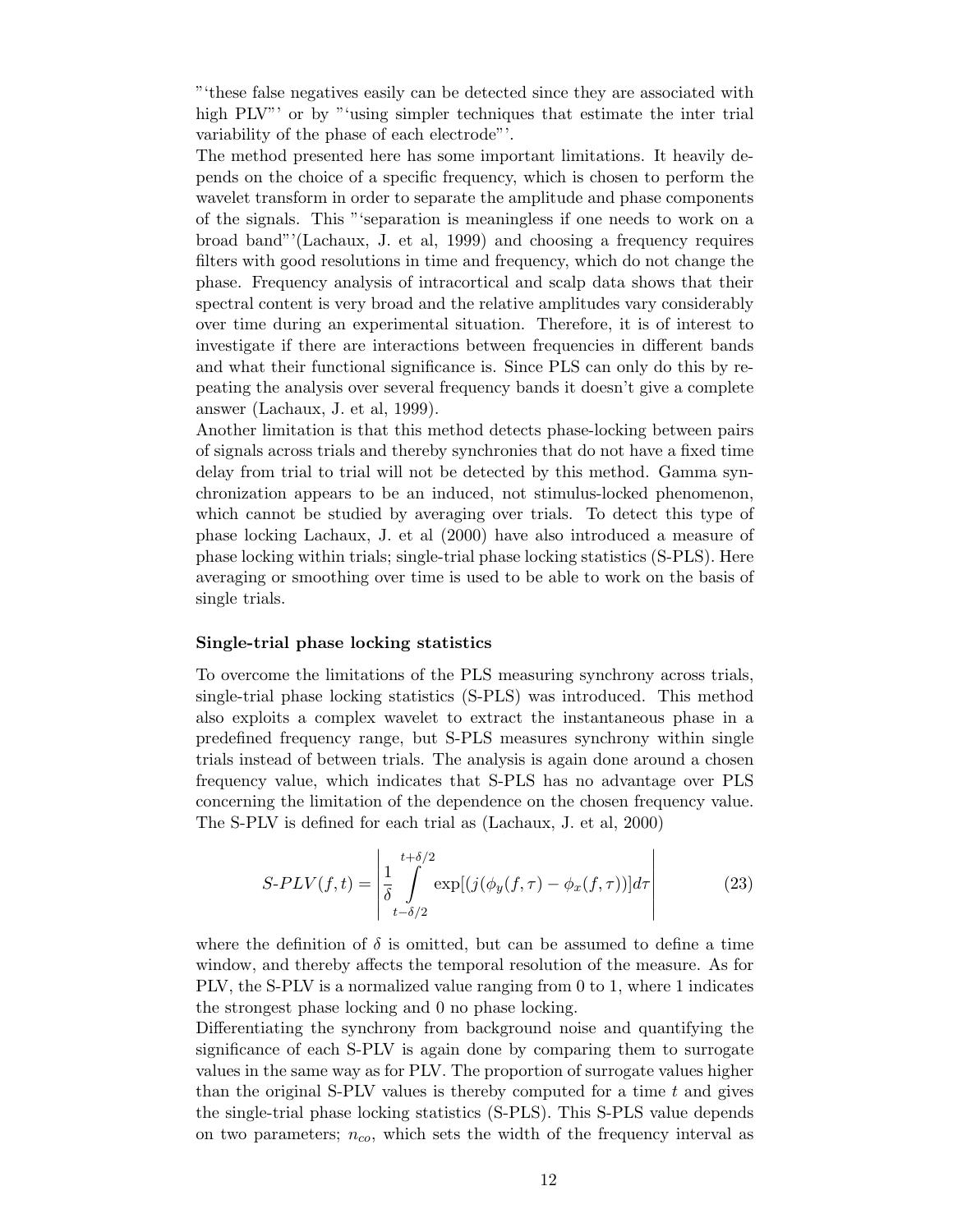"'these false negatives easily can be detected since they are associated with high PLV"' or by "'using simpler techniques that estimate the inter trial variability of the phase of each electrode"'.

The method presented here has some important limitations. It heavily depends on the choice of a specific frequency, which is chosen to perform the wavelet transform in order to separate the amplitude and phase components of the signals. This "'separation is meaningless if one needs to work on a broad band"'(Lachaux, J. et al, 1999) and choosing a frequency requires filters with good resolutions in time and frequency, which do not change the phase. Frequency analysis of intracortical and scalp data shows that their spectral content is very broad and the relative amplitudes vary considerably over time during an experimental situation. Therefore, it is of interest to investigate if there are interactions between frequencies in different bands and what their functional significance is. Since PLS can only do this by repeating the analysis over several frequency bands it doesn't give a complete answer (Lachaux, J. et al, 1999).

Another limitation is that this method detects phase-locking between pairs of signals across trials and thereby synchronies that do not have a fixed time delay from trial to trial will not be detected by this method. Gamma synchronization appears to be an induced, not stimulus-locked phenomenon, which cannot be studied by averaging over trials. To detect this type of phase locking Lachaux, J. et al (2000) have also introduced a measure of phase locking within trials; single-trial phase locking statistics (S-PLS). Here averaging or smoothing over time is used to be able to work on the basis of single trials.

#### Single-trial phase locking statistics

To overcome the limitations of the PLS measuring synchrony across trials, single-trial phase locking statistics (S-PLS) was introduced. This method also exploits a complex wavelet to extract the instantaneous phase in a predefined frequency range, but S-PLS measures synchrony within single trials instead of between trials. The analysis is again done around a chosen frequency value, which indicates that S-PLS has no advantage over PLS concerning the limitation of the dependence on the chosen frequency value. The S-PLV is defined for each trial as (Lachaux, J. et al, 2000)

$$
S\text{-}PLV(f,t) = \left| \frac{1}{\delta} \int_{t-\delta/2}^{t+\delta/2} \exp[(j(\phi_y(f,\tau) - \phi_x(f,\tau))]d\tau \right| \tag{23}
$$

where the definition of  $\delta$  is omitted, but can be assumed to define a time window, and thereby affects the temporal resolution of the measure. As for PLV, the S-PLV is a normalized value ranging from 0 to 1, where 1 indicates the strongest phase locking and 0 no phase locking.

Differentiating the synchrony from background noise and quantifying the significance of each S-PLV is again done by comparing them to surrogate values in the same way as for PLV. The proportion of surrogate values higher than the original S-PLV values is thereby computed for a time  $t$  and gives the single-trial phase locking statistics (S-PLS). This S-PLS value depends on two parameters;  $n_{co}$ , which sets the width of the frequency interval as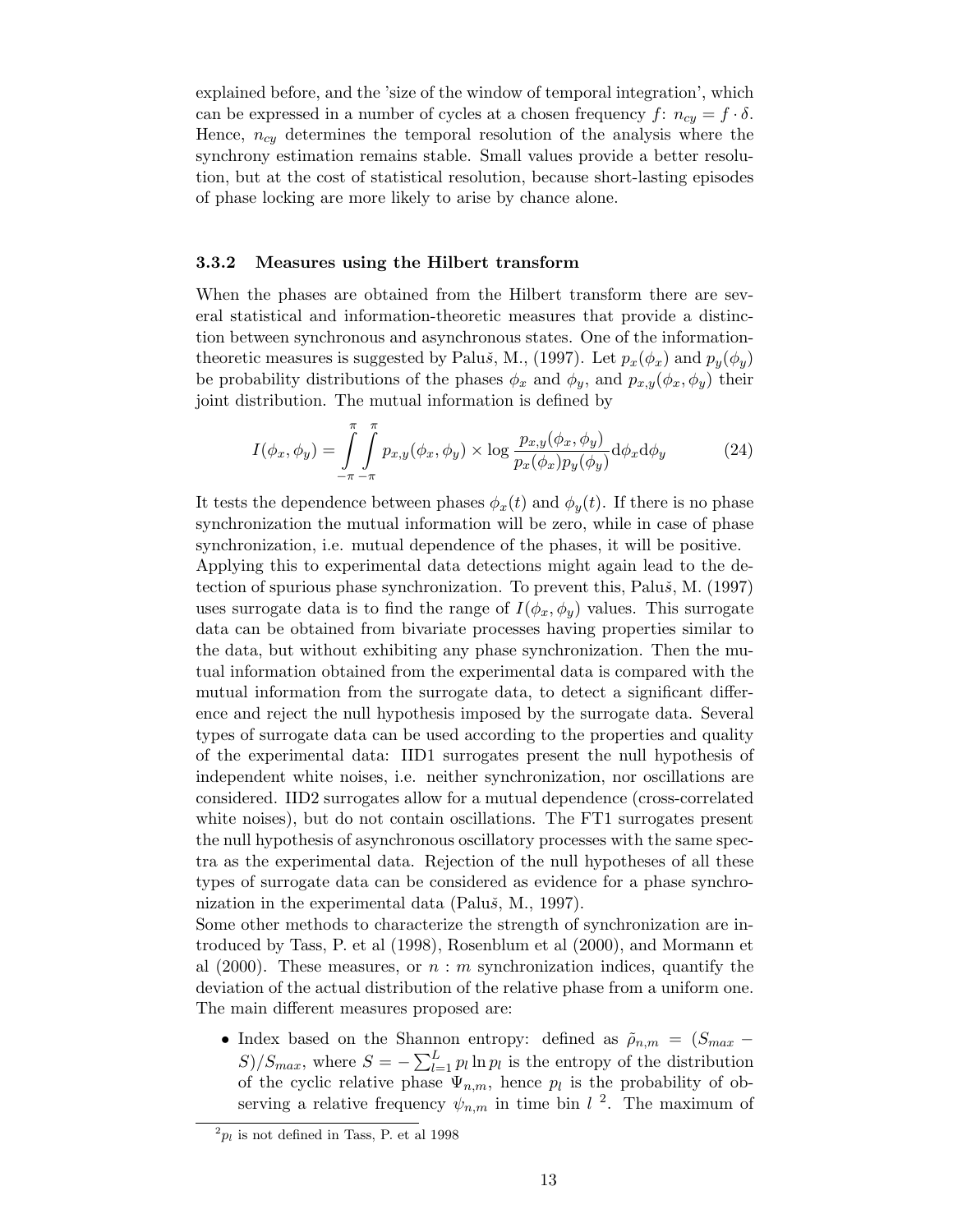explained before, and the 'size of the window of temporal integration', which can be expressed in a number of cycles at a chosen frequency  $f: n_{cu} = f \cdot \delta$ . Hence,  $n_{cy}$  determines the temporal resolution of the analysis where the synchrony estimation remains stable. Small values provide a better resolution, but at the cost of statistical resolution, because short-lasting episodes of phase locking are more likely to arise by chance alone.

#### 3.3.2 Measures using the Hilbert transform

When the phases are obtained from the Hilbert transform there are several statistical and information-theoretic measures that provide a distinction between synchronous and asynchronous states. One of the informationtheoretic measures is suggested by Paluš, M., (1997). Let  $p_x(\phi_x)$  and  $p_y(\phi_y)$ be probability distributions of the phases  $\phi_x$  and  $\phi_y$ , and  $p_{x,y}(\phi_x, \phi_y)$  their joint distribution. The mutual information is defined by

$$
I(\phi_x, \phi_y) = \int_{-\pi - \pi}^{\pi} \int_{-\pi}^{\pi} p_{x,y}(\phi_x, \phi_y) \times \log \frac{p_{x,y}(\phi_x, \phi_y)}{p_x(\phi_x)p_y(\phi_y)} d\phi_x d\phi_y
$$
 (24)

It tests the dependence between phases  $\phi_x(t)$  and  $\phi_y(t)$ . If there is no phase synchronization the mutual information will be zero, while in case of phase synchronization, i.e. mutual dependence of the phases, it will be positive.

Applying this to experimental data detections might again lead to the detection of spurious phase synchronization. To prevent this, Palu $\check{s}$ , M. (1997) uses surrogate data is to find the range of  $I(\phi_x, \phi_y)$  values. This surrogate data can be obtained from bivariate processes having properties similar to the data, but without exhibiting any phase synchronization. Then the mutual information obtained from the experimental data is compared with the mutual information from the surrogate data, to detect a significant difference and reject the null hypothesis imposed by the surrogate data. Several types of surrogate data can be used according to the properties and quality of the experimental data: IID1 surrogates present the null hypothesis of independent white noises, i.e. neither synchronization, nor oscillations are considered. IID2 surrogates allow for a mutual dependence (cross-correlated white noises), but do not contain oscillations. The FT1 surrogates present the null hypothesis of asynchronous oscillatory processes with the same spectra as the experimental data. Rejection of the null hypotheses of all these types of surrogate data can be considered as evidence for a phase synchronization in the experimental data (Palu $\check{s}$ , M., 1997).

Some other methods to characterize the strength of synchronization are introduced by Tass, P. et al (1998), Rosenblum et al (2000), and Mormann et al (2000). These measures, or  $n : m$  synchronization indices, quantify the deviation of the actual distribution of the relative phase from a uniform one. The main different measures proposed are:

• Index based on the Shannon entropy: defined as  $\tilde{\rho}_{n,m} = (S_{max} S)/S_{max}$ , where  $S = -\sum_{l=1}^{L} p_l \ln p_l$  is the entropy of the distribution of the cyclic relative phase  $\Psi_{n,m}$ , hence  $p_l$  is the probability of observing a relative frequency  $\psi_{n,m}$  in time bin  $l^2$ . The maximum of

 $^{2}p_{l}$  is not defined in Tass, P. et al 1998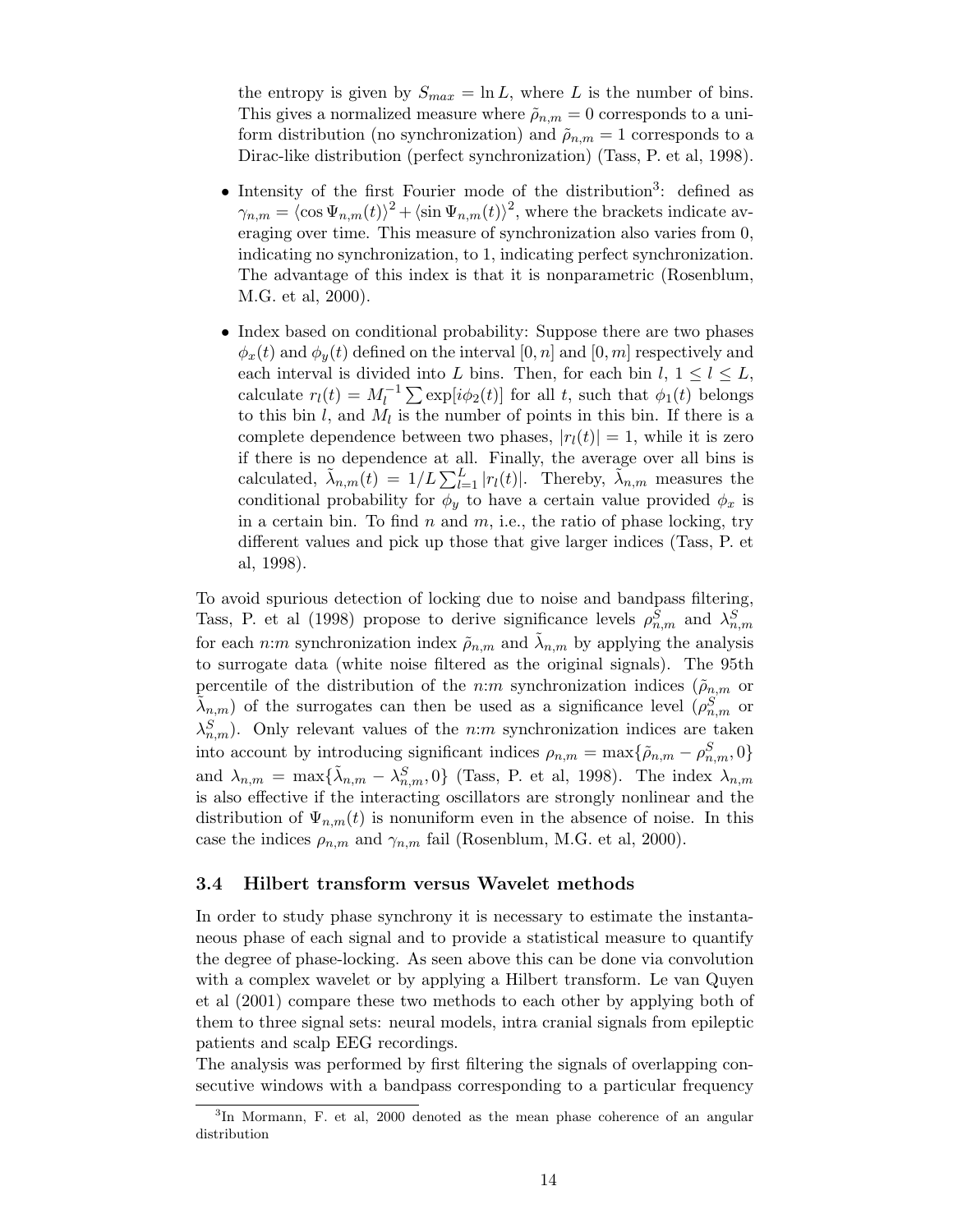the entropy is given by  $S_{max} = \ln L$ , where L is the number of bins. This gives a normalized measure where  $\tilde{\rho}_{n,m} = 0$  corresponds to a uniform distribution (no synchronization) and  $\tilde{\rho}_{n,m} = 1$  corresponds to a Dirac-like distribution (perfect synchronization) (Tass, P. et al, 1998).

- Intensity of the first Fourier mode of the distribution<sup>3</sup>: defined as  $\gamma_{n,m} = \langle \cos \Psi_{n,m}(t) \rangle^2 + \langle \sin \Psi_{n,m}(t) \rangle^2$ , where the brackets indicate averaging over time. This measure of synchronization also varies from 0, indicating no synchronization, to 1, indicating perfect synchronization. The advantage of this index is that it is nonparametric (Rosenblum, M.G. et al, 2000).
- Index based on conditional probability: Suppose there are two phases  $\phi_x(t)$  and  $\phi_y(t)$  defined on the interval [0, n] and [0, m] respectively and each interval is divided into L bins. Then, for each bin  $l, 1 \leq l \leq L$ , calculate  $r_l(t) = M_l^{-1} \sum \exp[i\phi_2(t)]$  for all t, such that  $\phi_1(t)$  belongs to this bin  $l$ , and  $M_l$  is the number of points in this bin. If there is a complete dependence between two phases,  $|r_l(t)| = 1$ , while it is zero if there is no dependence at all. Finally, the average over all bins is calculated,  $\tilde{\lambda}_{n,m}(t) = 1/L \sum_{l=1}^{L} |r_l(t)|$ . Thereby,  $\tilde{\lambda}_{n,m}$  measures the conditional probability for  $\phi_y$  to have a certain value provided  $\phi_x$  is in a certain bin. To find n and  $m$ , i.e., the ratio of phase locking, try different values and pick up those that give larger indices (Tass, P. et al, 1998).

To avoid spurious detection of locking due to noise and bandpass filtering, Tass, P. et al (1998) propose to derive significance levels  $\rho_{n,m}^S$  and  $\lambda_{n,m}^S$ for each n:m synchronization index  $\tilde{\rho}_{n,m}$  and  $\tilde{\lambda}_{n,m}$  by applying the analysis to surrogate data (white noise filtered as the original signals). The 95th percentile of the distribution of the n:m synchronization indices ( $\tilde{\rho}_{n,m}$  or  $\tilde{\lambda}_{n,m}$ ) of the surrogates can then be used as a significance level  $(\rho_{n,m}^{S})$  or  $\lambda_{n,m}^S$ ). Only relevant values of the n:m synchronization indices are taken into account by introducing significant indices  $\rho_{n,m} = \max{\{\tilde{\rho}_{n,m} - \rho_{n,m}^S, 0\}}$ and  $\lambda_{n,m} = \max\{\tilde{\lambda}_{n,m} - \lambda_{n,m}^S, 0\}$  (Tass, P. et al, 1998). The index  $\lambda_{n,m}$ is also effective if the interacting oscillators are strongly nonlinear and the distribution of  $\Psi_{n,m}(t)$  is nonuniform even in the absence of noise. In this case the indices  $\rho_{n,m}$  and  $\gamma_{n,m}$  fail (Rosenblum, M.G. et al, 2000).

#### 3.4 Hilbert transform versus Wavelet methods

In order to study phase synchrony it is necessary to estimate the instantaneous phase of each signal and to provide a statistical measure to quantify the degree of phase-locking. As seen above this can be done via convolution with a complex wavelet or by applying a Hilbert transform. Le van Quyen et al (2001) compare these two methods to each other by applying both of them to three signal sets: neural models, intra cranial signals from epileptic patients and scalp EEG recordings.

The analysis was performed by first filtering the signals of overlapping consecutive windows with a bandpass corresponding to a particular frequency

<sup>&</sup>lt;sup>3</sup>In Mormann, F. et al, 2000 denoted as the mean phase coherence of an angular distribution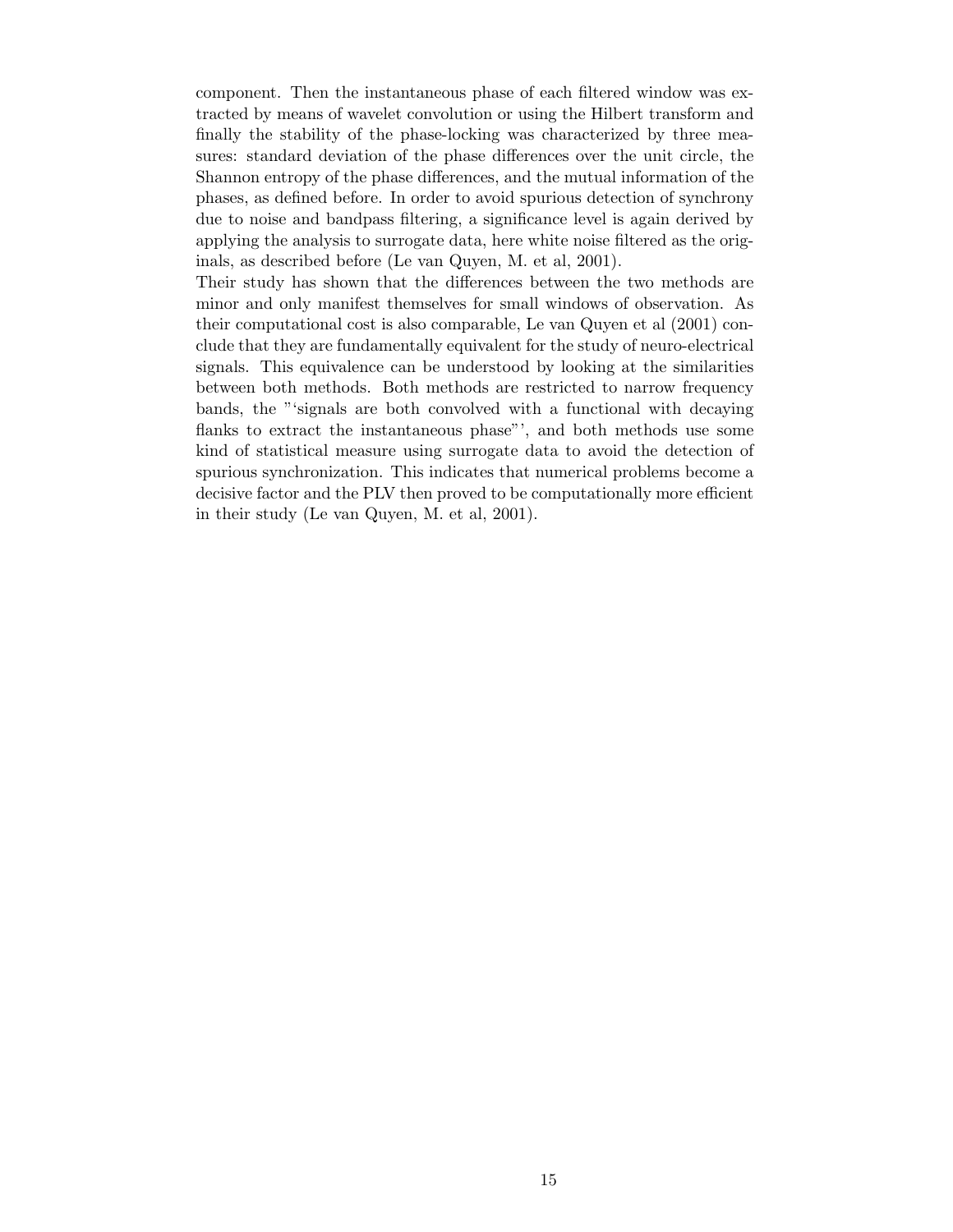component. Then the instantaneous phase of each filtered window was extracted by means of wavelet convolution or using the Hilbert transform and finally the stability of the phase-locking was characterized by three measures: standard deviation of the phase differences over the unit circle, the Shannon entropy of the phase differences, and the mutual information of the phases, as defined before. In order to avoid spurious detection of synchrony due to noise and bandpass filtering, a significance level is again derived by applying the analysis to surrogate data, here white noise filtered as the originals, as described before (Le van Quyen, M. et al, 2001).

Their study has shown that the differences between the two methods are minor and only manifest themselves for small windows of observation. As their computational cost is also comparable, Le van Quyen et al (2001) conclude that they are fundamentally equivalent for the study of neuro-electrical signals. This equivalence can be understood by looking at the similarities between both methods. Both methods are restricted to narrow frequency bands, the "'signals are both convolved with a functional with decaying flanks to extract the instantaneous phase"', and both methods use some kind of statistical measure using surrogate data to avoid the detection of spurious synchronization. This indicates that numerical problems become a decisive factor and the PLV then proved to be computationally more efficient in their study (Le van Quyen, M. et al, 2001).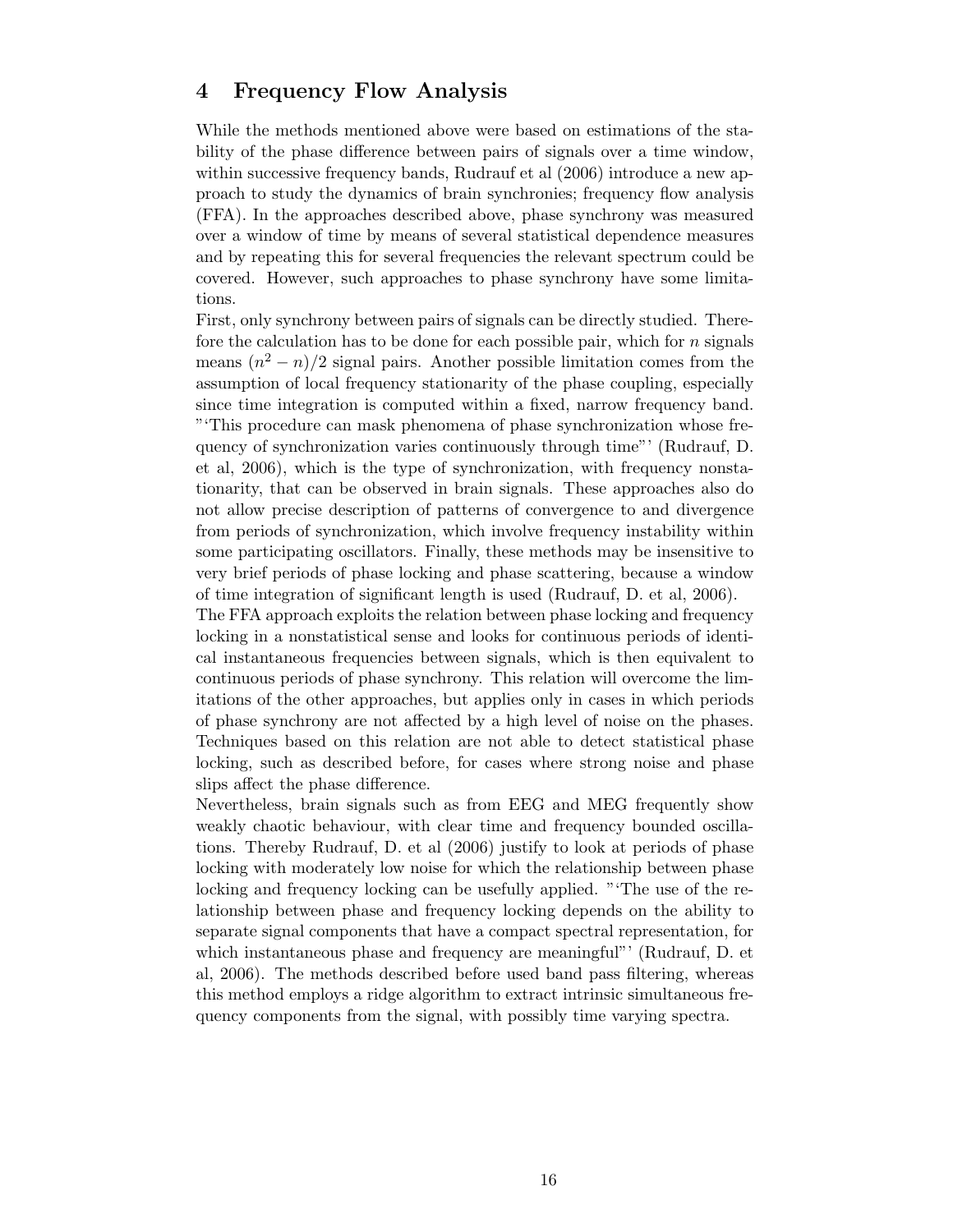# 4 Frequency Flow Analysis

While the methods mentioned above were based on estimations of the stability of the phase difference between pairs of signals over a time window, within successive frequency bands, Rudrauf et al  $(2006)$  introduce a new approach to study the dynamics of brain synchronies; frequency flow analysis (FFA). In the approaches described above, phase synchrony was measured over a window of time by means of several statistical dependence measures and by repeating this for several frequencies the relevant spectrum could be covered. However, such approaches to phase synchrony have some limitations.

First, only synchrony between pairs of signals can be directly studied. Therefore the calculation has to be done for each possible pair, which for  $n$  signals means  $(n^2 - n)/2$  signal pairs. Another possible limitation comes from the assumption of local frequency stationarity of the phase coupling, especially since time integration is computed within a fixed, narrow frequency band. "'This procedure can mask phenomena of phase synchronization whose frequency of synchronization varies continuously through time"' (Rudrauf, D. et al, 2006), which is the type of synchronization, with frequency nonstationarity, that can be observed in brain signals. These approaches also do not allow precise description of patterns of convergence to and divergence from periods of synchronization, which involve frequency instability within some participating oscillators. Finally, these methods may be insensitive to very brief periods of phase locking and phase scattering, because a window of time integration of significant length is used (Rudrauf, D. et al, 2006).

The FFA approach exploits the relation between phase locking and frequency locking in a nonstatistical sense and looks for continuous periods of identical instantaneous frequencies between signals, which is then equivalent to continuous periods of phase synchrony. This relation will overcome the limitations of the other approaches, but applies only in cases in which periods of phase synchrony are not affected by a high level of noise on the phases. Techniques based on this relation are not able to detect statistical phase locking, such as described before, for cases where strong noise and phase slips affect the phase difference.

Nevertheless, brain signals such as from EEG and MEG frequently show weakly chaotic behaviour, with clear time and frequency bounded oscillations. Thereby Rudrauf, D. et al (2006) justify to look at periods of phase locking with moderately low noise for which the relationship between phase locking and frequency locking can be usefully applied. "'The use of the relationship between phase and frequency locking depends on the ability to separate signal components that have a compact spectral representation, for which instantaneous phase and frequency are meaningful"' (Rudrauf, D. et al, 2006). The methods described before used band pass filtering, whereas this method employs a ridge algorithm to extract intrinsic simultaneous frequency components from the signal, with possibly time varying spectra.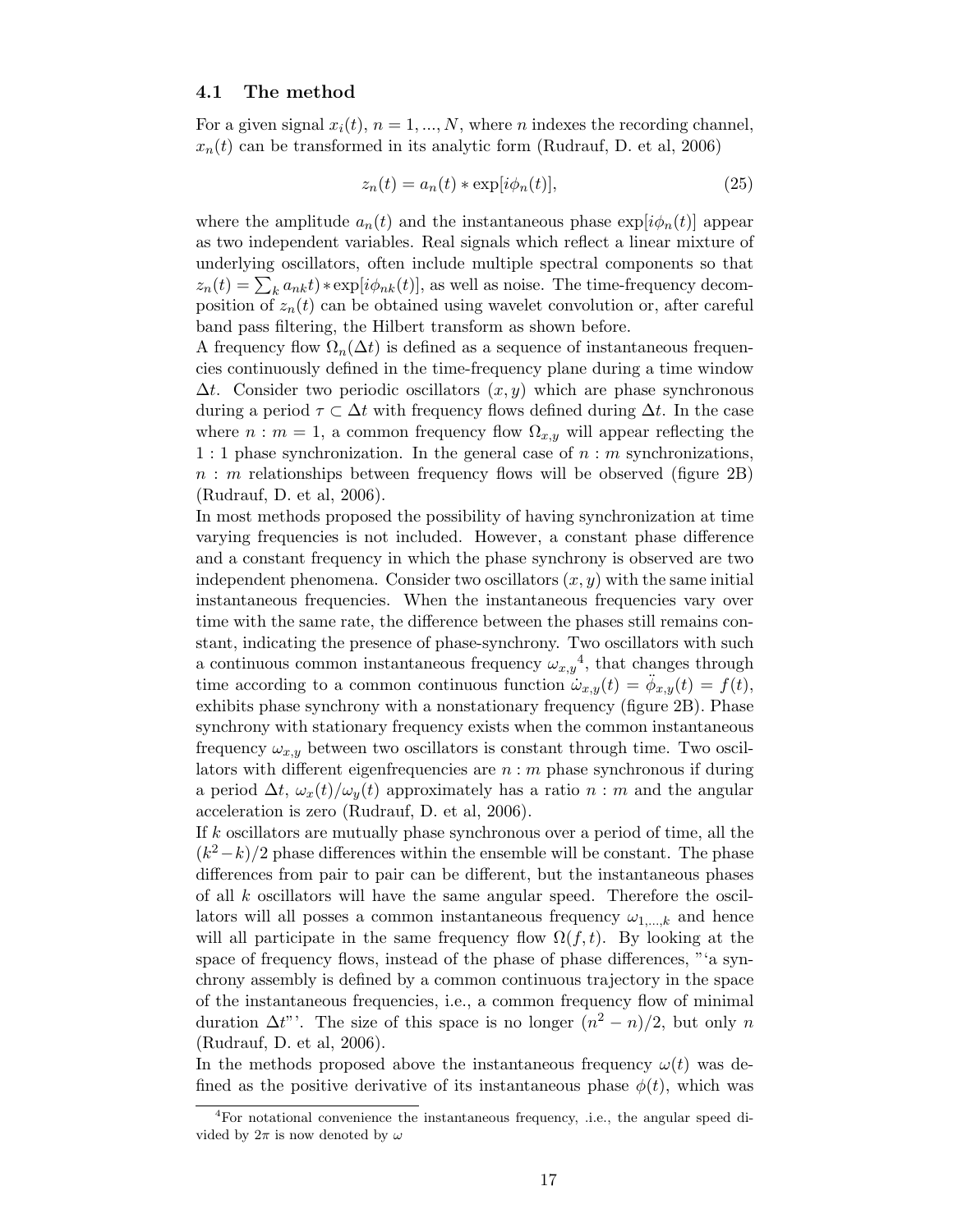#### 4.1 The method

For a given signal  $x_i(t)$ ,  $n = 1, ..., N$ , where n indexes the recording channel,  $x_n(t)$  can be transformed in its analytic form (Rudrauf, D. et al, 2006)

$$
z_n(t) = a_n(t) * \exp[i\phi_n(t)], \qquad (25)
$$

where the amplitude  $a_n(t)$  and the instantaneous phase  $\exp[i\phi_n(t)]$  appear as two independent variables. Real signals which reflect a linear mixture of underlying oscillators, often include multiple spectral components so that  $z_n(t) = \sum_k a_{nk}t) * \exp[i\phi_{nk}(t)]$ , as well as noise. The time-frequency decomposition of  $z_n(t)$  can be obtained using wavelet convolution or, after careful band pass filtering, the Hilbert transform as shown before.

A frequency flow  $\Omega_n(\Delta t)$  is defined as a sequence of instantaneous frequencies continuously defined in the time-frequency plane during a time window  $\Delta t$ . Consider two periodic oscillators  $(x, y)$  which are phase synchronous during a period  $\tau \subset \Delta t$  with frequency flows defined during  $\Delta t$ . In the case where  $n : m = 1$ , a common frequency flow  $\Omega_{x,y}$  will appear reflecting the 1 : 1 phase synchronization. In the general case of  $n : m$  synchronizations,  $n : m$  relationships between frequency flows will be observed (figure 2B) (Rudrauf, D. et al, 2006).

In most methods proposed the possibility of having synchronization at time varying frequencies is not included. However, a constant phase difference and a constant frequency in which the phase synchrony is observed are two independent phenomena. Consider two oscillators  $(x, y)$  with the same initial instantaneous frequencies. When the instantaneous frequencies vary over time with the same rate, the difference between the phases still remains constant, indicating the presence of phase-synchrony. Two oscillators with such a continuous common instantaneous frequency  $\omega_{x,y}^4$ , that changes through time according to a common continuous function  $\ddot{\omega}_{x,y}(t) = \ddot{\phi}_{x,y}(t) = f(t)$ , exhibits phase synchrony with a nonstationary frequency (figure 2B). Phase synchrony with stationary frequency exists when the common instantaneous frequency  $\omega_{x,y}$  between two oscillators is constant through time. Two oscillators with different eigenfrequencies are  $n : m$  phase synchronous if during a period  $\Delta t$ ,  $\omega_x(t)/\omega_y(t)$  approximately has a ratio n : m and the angular acceleration is zero (Rudrauf, D. et al, 2006).

If k oscillators are mutually phase synchronous over a period of time, all the  $(k^2-k)/2$  phase differences within the ensemble will be constant. The phase differences from pair to pair can be different, but the instantaneous phases of all  $k$  oscillators will have the same angular speed. Therefore the oscillators will all posses a common instantaneous frequency  $\omega_{1,\dots,k}$  and hence will all participate in the same frequency flow  $\Omega(f, t)$ . By looking at the space of frequency flows, instead of the phase of phase differences, "'a synchrony assembly is defined by a common continuous trajectory in the space of the instantaneous frequencies, i.e., a common frequency flow of minimal duration  $\Delta t$ "'. The size of this space is no longer  $(n^2 - n)/2$ , but only n (Rudrauf, D. et al, 2006).

In the methods proposed above the instantaneous frequency  $\omega(t)$  was defined as the positive derivative of its instantaneous phase  $\phi(t)$ , which was

<sup>4</sup>For notational convenience the instantaneous frequency, .i.e., the angular speed divided by  $2\pi$  is now denoted by  $\omega$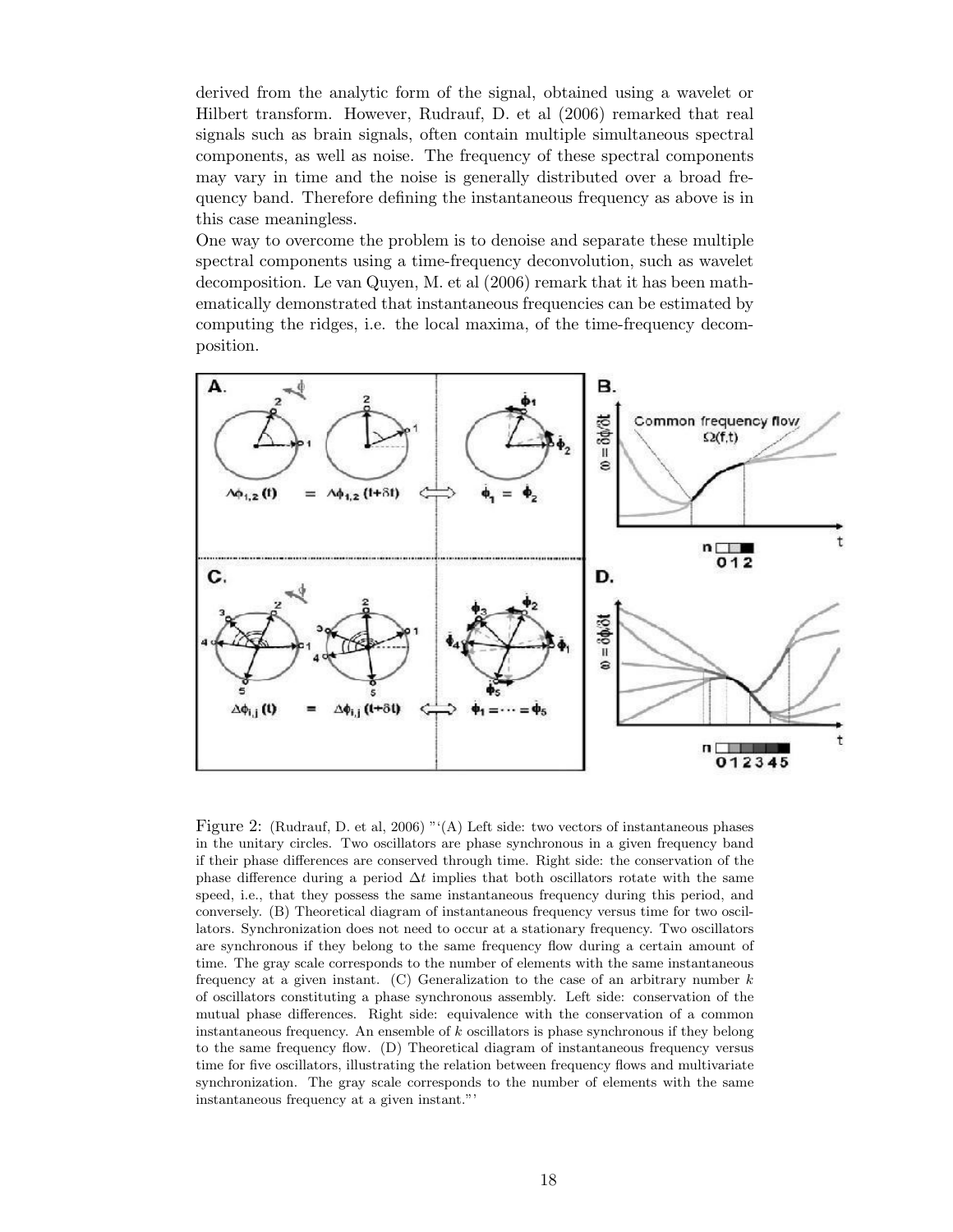derived from the analytic form of the signal, obtained using a wavelet or Hilbert transform. However, Rudrauf, D. et al (2006) remarked that real signals such as brain signals, often contain multiple simultaneous spectral components, as well as noise. The frequency of these spectral components may vary in time and the noise is generally distributed over a broad frequency band. Therefore defining the instantaneous frequency as above is in this case meaningless.

One way to overcome the problem is to denoise and separate these multiple spectral components using a time-frequency deconvolution, such as wavelet decomposition. Le van Quyen, M. et al (2006) remark that it has been mathematically demonstrated that instantaneous frequencies can be estimated by computing the ridges, i.e. the local maxima, of the time-frequency decomposition.



Figure 2: (Rudrauf, D. et al, 2006) "'(A) Left side: two vectors of instantaneous phases in the unitary circles. Two oscillators are phase synchronous in a given frequency band if their phase differences are conserved through time. Right side: the conservation of the phase difference during a period  $\Delta t$  implies that both oscillators rotate with the same speed, i.e., that they possess the same instantaneous frequency during this period, and conversely. (B) Theoretical diagram of instantaneous frequency versus time for two oscillators. Synchronization does not need to occur at a stationary frequency. Two oscillators are synchronous if they belong to the same frequency flow during a certain amount of time. The gray scale corresponds to the number of elements with the same instantaneous frequency at a given instant. (C) Generalization to the case of an arbitrary number  $k$ of oscillators constituting a phase synchronous assembly. Left side: conservation of the mutual phase differences. Right side: equivalence with the conservation of a common instantaneous frequency. An ensemble of k oscillators is phase synchronous if they belong to the same frequency flow. (D) Theoretical diagram of instantaneous frequency versus time for five oscillators, illustrating the relation between frequency flows and multivariate synchronization. The gray scale corresponds to the number of elements with the same instantaneous frequency at a given instant."'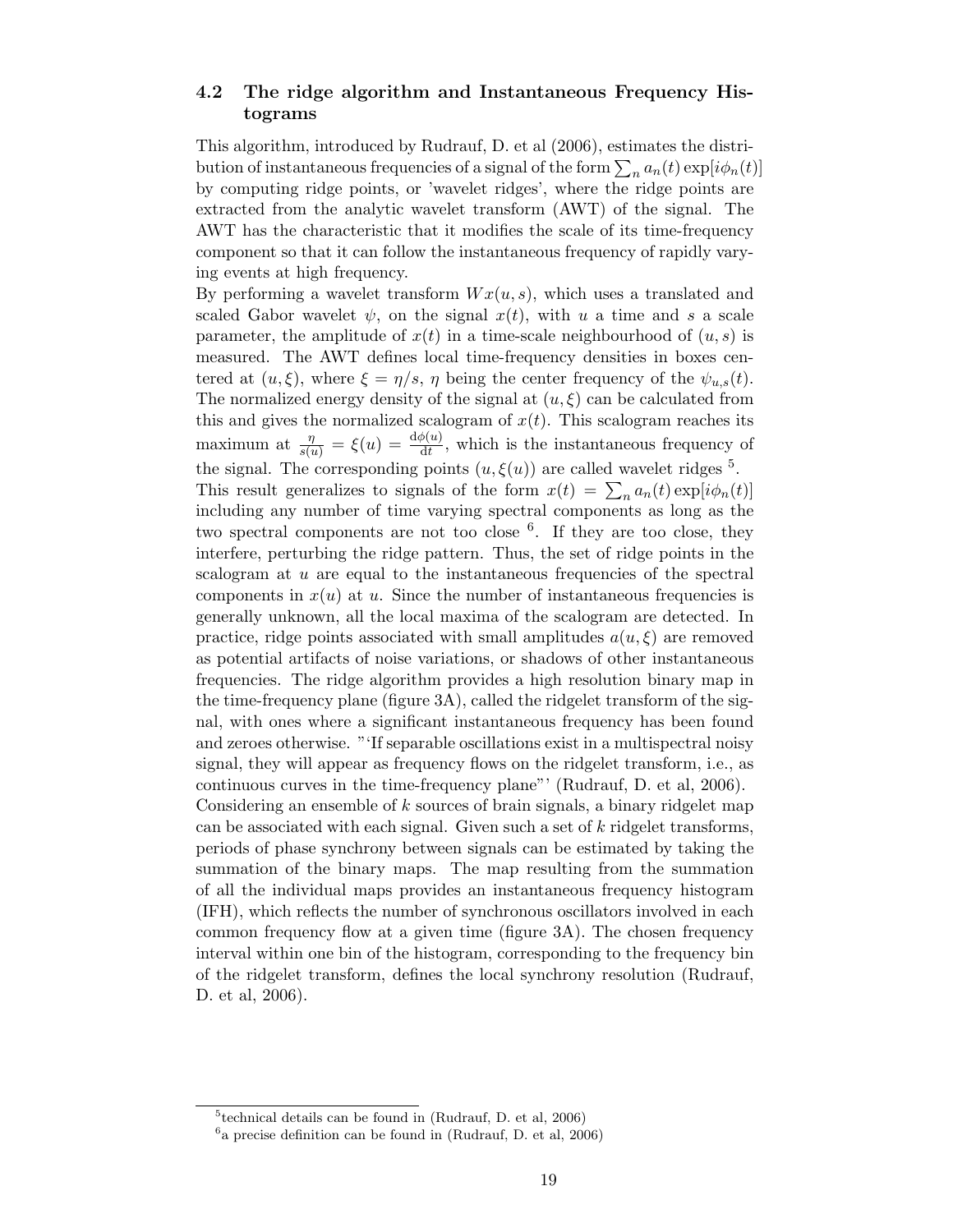## 4.2 The ridge algorithm and Instantaneous Frequency Histograms

This algorithm, introduced by Rudrauf, D. et al (2006), estimates the distribution of instantaneous frequencies of a signal of the form  $\sum_n a_n(t) \exp[i \phi_n(t)]$ by computing ridge points, or 'wavelet ridges', where the ridge points are extracted from the analytic wavelet transform (AWT) of the signal. The AWT has the characteristic that it modifies the scale of its time-frequency component so that it can follow the instantaneous frequency of rapidly varying events at high frequency.

By performing a wavelet transform  $Wx(u, s)$ , which uses a translated and scaled Gabor wavelet  $\psi$ , on the signal  $x(t)$ , with u a time and s a scale parameter, the amplitude of  $x(t)$  in a time-scale neighbourhood of  $(u, s)$  is measured. The AWT defines local time-frequency densities in boxes centered at  $(u, \xi)$ , where  $\xi = \eta/s$ ,  $\eta$  being the center frequency of the  $\psi_{u,s}(t)$ . The normalized energy density of the signal at  $(u, \xi)$  can be calculated from this and gives the normalized scalogram of  $x(t)$ . This scalogram reaches its maximum at  $\frac{\eta}{s(u)} = \xi(u) = \frac{d\phi(u)}{dt}$ , which is the instantaneous frequency of the signal. The corresponding points  $(u, \xi(u))$  are called wavelet ridges <sup>5</sup>. This result generalizes to signals of the form  $x(t) = \sum_n a_n(t) \exp[i\phi_n(t)]$ including any number of time varying spectral components as long as the two spectral components are not too close <sup>6</sup>. If they are too close, they interfere, perturbing the ridge pattern. Thus, the set of ridge points in the scalogram at  $u$  are equal to the instantaneous frequencies of the spectral components in  $x(u)$  at u. Since the number of instantaneous frequencies is generally unknown, all the local maxima of the scalogram are detected. In practice, ridge points associated with small amplitudes  $a(u, \xi)$  are removed as potential artifacts of noise variations, or shadows of other instantaneous frequencies. The ridge algorithm provides a high resolution binary map in the time-frequency plane (figure 3A), called the ridgelet transform of the signal, with ones where a significant instantaneous frequency has been found and zeroes otherwise. "'If separable oscillations exist in a multispectral noisy signal, they will appear as frequency flows on the ridgelet transform, i.e., as continuous curves in the time-frequency plane"' (Rudrauf, D. et al, 2006). Considering an ensemble of k sources of brain signals, a binary ridgelet map can be associated with each signal. Given such a set of k ridgelet transforms, periods of phase synchrony between signals can be estimated by taking the summation of the binary maps. The map resulting from the summation of all the individual maps provides an instantaneous frequency histogram (IFH), which reflects the number of synchronous oscillators involved in each common frequency flow at a given time (figure 3A). The chosen frequency interval within one bin of the histogram, corresponding to the frequency bin of the ridgelet transform, defines the local synchrony resolution (Rudrauf, D. et al, 2006).

<sup>5</sup> technical details can be found in (Rudrauf, D. et al, 2006)

<sup>6</sup> a precise definition can be found in (Rudrauf, D. et al, 2006)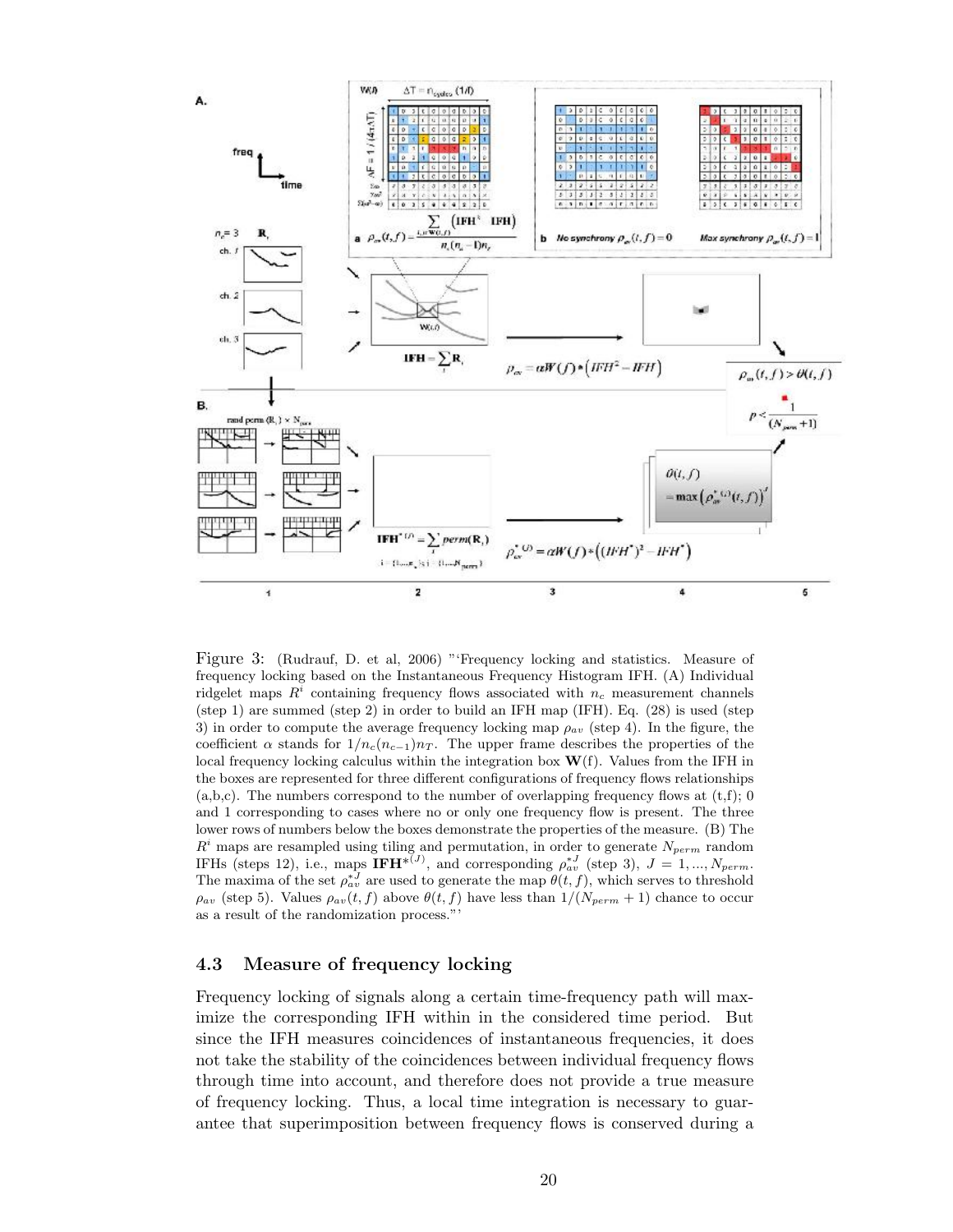

Figure 3: (Rudrauf, D. et al, 2006) "'Frequency locking and statistics. Measure of frequency locking based on the Instantaneous Frequency Histogram IFH. (A) Individual ridgelet maps  $R<sup>i</sup>$  containing frequency flows associated with  $n_c$  measurement channels (step 1) are summed (step 2) in order to build an IFH map (IFH). Eq. (28) is used (step 3) in order to compute the average frequency locking map  $\rho_{av}$  (step 4). In the figure, the coefficient  $\alpha$  stands for  $1/n_c(n_{c-1})n_T$ . The upper frame describes the properties of the local frequency locking calculus within the integration box  $\mathbf{W}(f)$ . Values from the IFH in the boxes are represented for three different configurations of frequency flows relationships  $(a,b,c)$ . The numbers correspond to the number of overlapping frequency flows at  $(t,f)$ ; 0 and 1 corresponding to cases where no or only one frequency flow is present. The three lower rows of numbers below the boxes demonstrate the properties of the measure. (B) The  $R<sup>i</sup>$  maps are resampled using tiling and permutation, in order to generate  $N_{perm}$  random IFHs (steps 12), i.e., maps  $\text{IFH}^{*(J)}$ , and corresponding  $\rho_{av}^{*J}$  (step 3),  $J = 1, ..., N_{perm}$ . The maxima of the set  $\rho_{av}^{*J}$  are used to generate the map  $\theta(t,f)$ , which serves to threshold  $\rho_{av}$  (step 5). Values  $\rho_{av}(t, f)$  above  $\theta(t, f)$  have less than  $1/(N_{perm} + 1)$  chance to occur as a result of the randomization process."'

#### 4.3 Measure of frequency locking

Frequency locking of signals along a certain time-frequency path will maximize the corresponding IFH within in the considered time period. But since the IFH measures coincidences of instantaneous frequencies, it does not take the stability of the coincidences between individual frequency flows through time into account, and therefore does not provide a true measure of frequency locking. Thus, a local time integration is necessary to guarantee that superimposition between frequency flows is conserved during a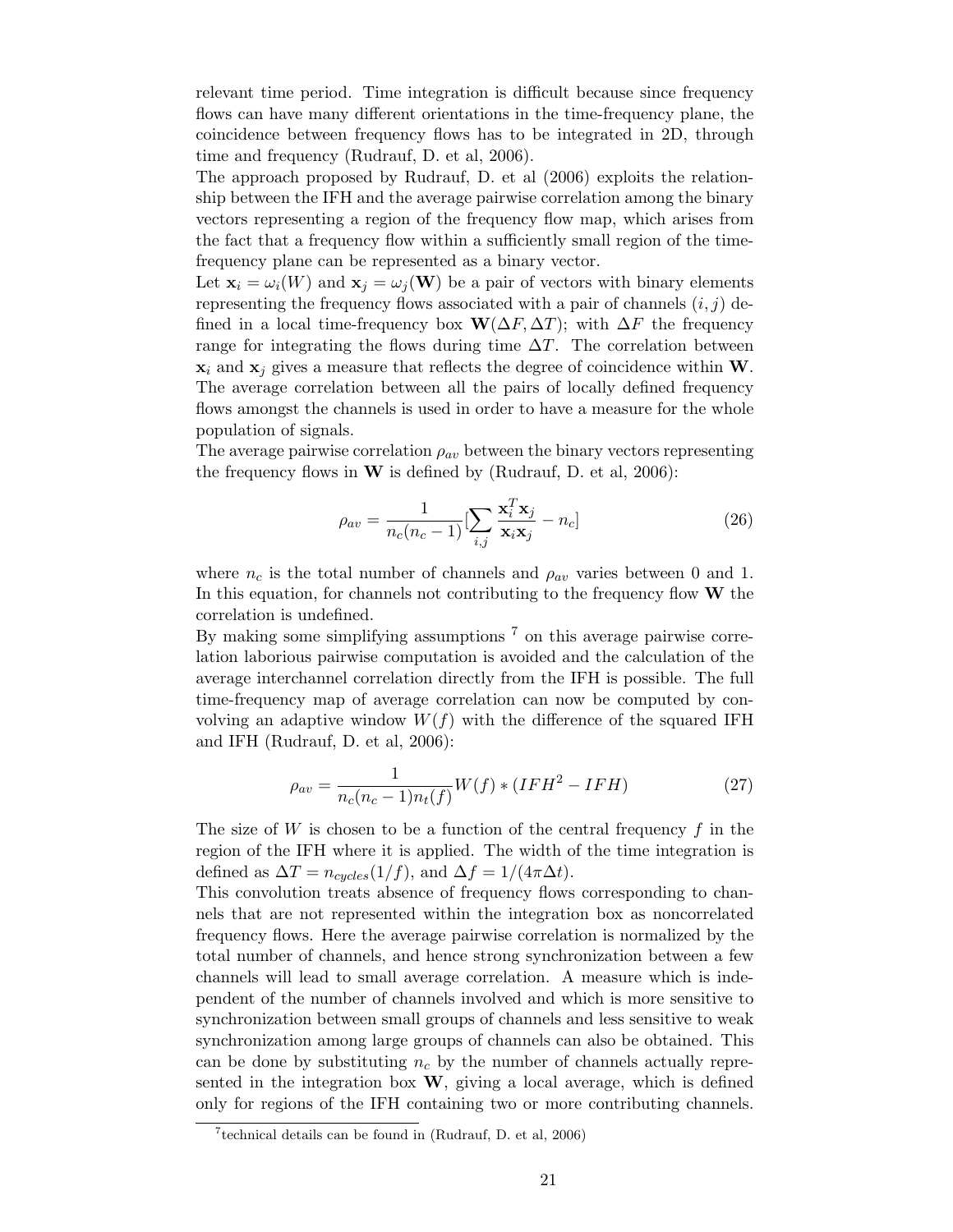relevant time period. Time integration is difficult because since frequency flows can have many different orientations in the time-frequency plane, the coincidence between frequency flows has to be integrated in 2D, through time and frequency (Rudrauf, D. et al, 2006).

The approach proposed by Rudrauf, D. et al (2006) exploits the relationship between the IFH and the average pairwise correlation among the binary vectors representing a region of the frequency flow map, which arises from the fact that a frequency flow within a sufficiently small region of the timefrequency plane can be represented as a binary vector.

Let  $\mathbf{x}_i = \omega_i(W)$  and  $\mathbf{x}_j = \omega_j(W)$  be a pair of vectors with binary elements representing the frequency flows associated with a pair of channels  $(i, j)$  defined in a local time-frequency box  $\mathbf{W}(\Delta F, \Delta T)$ ; with  $\Delta F$  the frequency range for integrating the flows during time  $\Delta T$ . The correlation between  $x_i$  and  $x_j$  gives a measure that reflects the degree of coincidence within W. The average correlation between all the pairs of locally defined frequency flows amongst the channels is used in order to have a measure for the whole population of signals.

The average pairwise correlation  $\rho_{av}$  between the binary vectors representing the frequency flows in  $W$  is defined by (Rudrauf, D. et al, 2006):

$$
\rho_{av} = \frac{1}{n_c(n_c - 1)} \left[ \sum_{i,j} \frac{\mathbf{x}_i^T \mathbf{x}_j}{\mathbf{x}_i \mathbf{x}_j} - n_c \right]
$$
(26)

where  $n_c$  is the total number of channels and  $\rho_{av}$  varies between 0 and 1. In this equation, for channels not contributing to the frequency flow  $W$  the correlation is undefined.

By making some simplifying assumptions <sup>7</sup> on this average pairwise correlation laborious pairwise computation is avoided and the calculation of the average interchannel correlation directly from the IFH is possible. The full time-frequency map of average correlation can now be computed by convolving an adaptive window  $W(f)$  with the difference of the squared IFH and IFH (Rudrauf, D. et al, 2006):

$$
\rho_{av} = \frac{1}{n_c(n_c - 1)n_t(f)} W(f) * (IFH^2 - IFH)
$$
\n(27)

The size of  $W$  is chosen to be a function of the central frequency  $f$  in the region of the IFH where it is applied. The width of the time integration is defined as  $\Delta T = n_{cycles}(1/f)$ , and  $\Delta f = 1/(4\pi\Delta t)$ .

This convolution treats absence of frequency flows corresponding to channels that are not represented within the integration box as noncorrelated frequency flows. Here the average pairwise correlation is normalized by the total number of channels, and hence strong synchronization between a few channels will lead to small average correlation. A measure which is independent of the number of channels involved and which is more sensitive to synchronization between small groups of channels and less sensitive to weak synchronization among large groups of channels can also be obtained. This can be done by substituting  $n_c$  by the number of channels actually represented in the integration box  $W$ , giving a local average, which is defined only for regions of the IFH containing two or more contributing channels.

 $7$ technical details can be found in (Rudrauf, D. et al, 2006)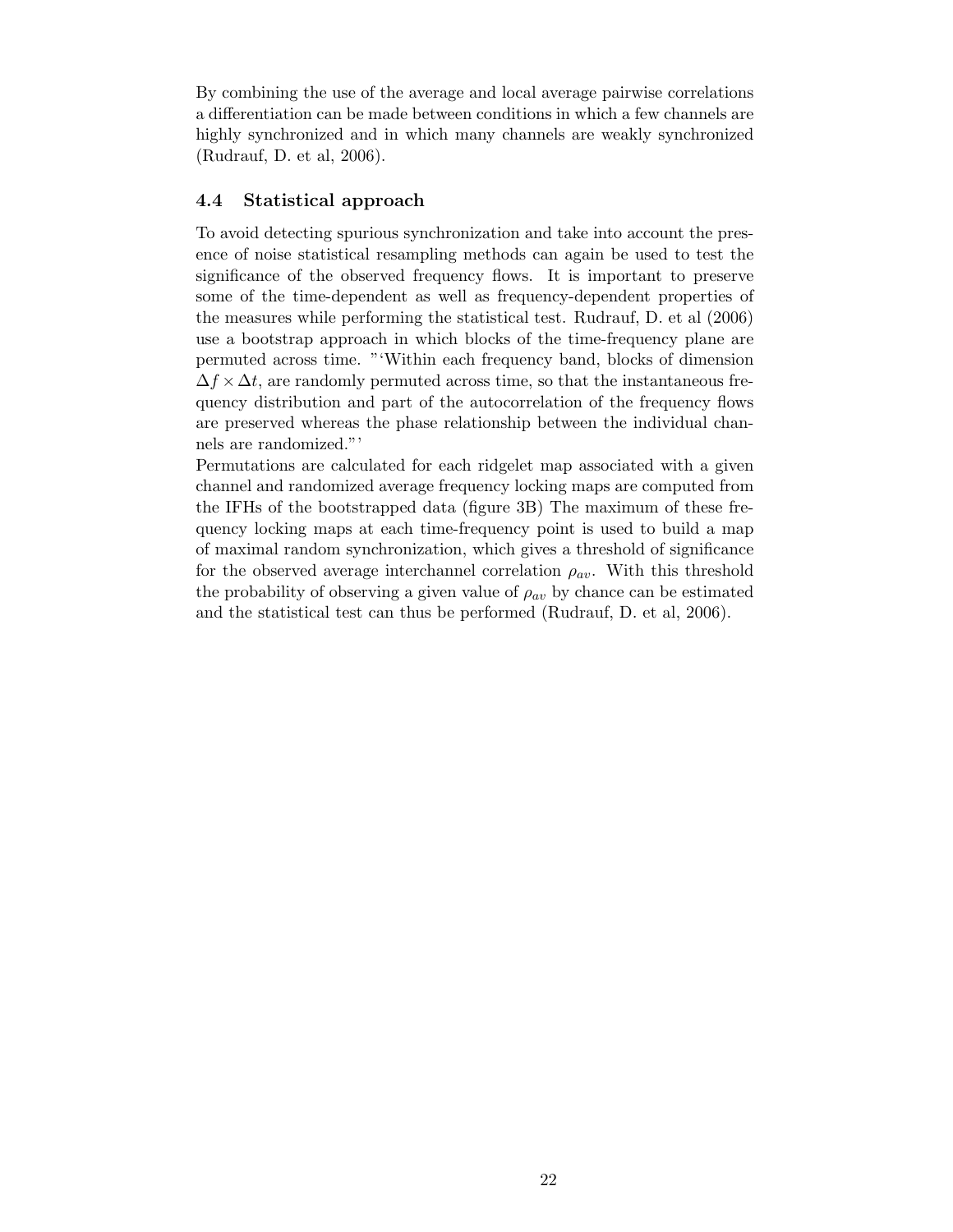By combining the use of the average and local average pairwise correlations a differentiation can be made between conditions in which a few channels are highly synchronized and in which many channels are weakly synchronized (Rudrauf, D. et al, 2006).

#### 4.4 Statistical approach

To avoid detecting spurious synchronization and take into account the presence of noise statistical resampling methods can again be used to test the significance of the observed frequency flows. It is important to preserve some of the time-dependent as well as frequency-dependent properties of the measures while performing the statistical test. Rudrauf, D. et al (2006) use a bootstrap approach in which blocks of the time-frequency plane are permuted across time. "'Within each frequency band, blocks of dimension  $\Delta f \times \Delta t$ , are randomly permuted across time, so that the instantaneous frequency distribution and part of the autocorrelation of the frequency flows are preserved whereas the phase relationship between the individual channels are randomized."'

Permutations are calculated for each ridgelet map associated with a given channel and randomized average frequency locking maps are computed from the IFHs of the bootstrapped data (figure 3B) The maximum of these frequency locking maps at each time-frequency point is used to build a map of maximal random synchronization, which gives a threshold of significance for the observed average interchannel correlation  $\rho_{av}$ . With this threshold the probability of observing a given value of  $\rho_{av}$  by chance can be estimated and the statistical test can thus be performed (Rudrauf, D. et al, 2006).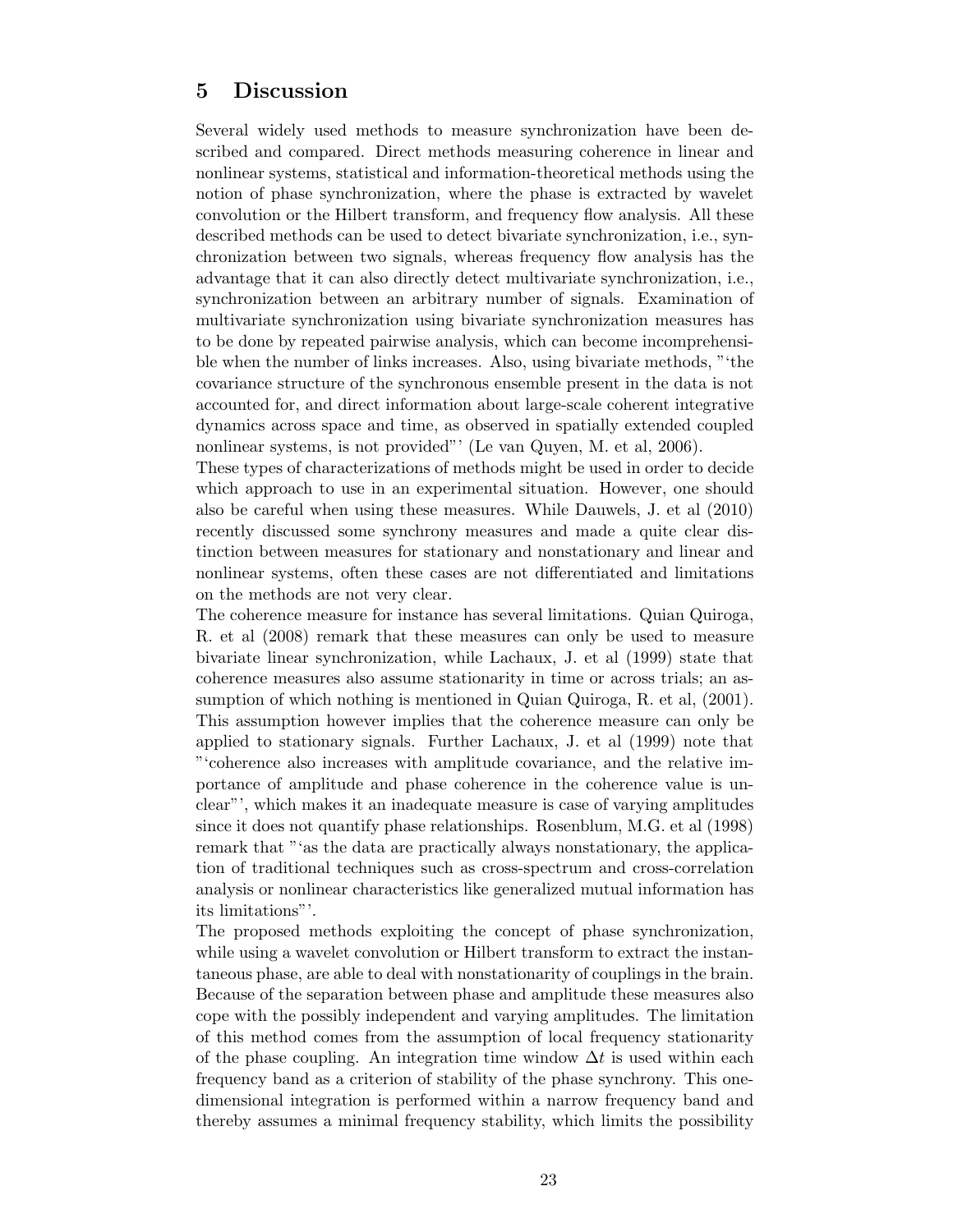# 5 Discussion

Several widely used methods to measure synchronization have been described and compared. Direct methods measuring coherence in linear and nonlinear systems, statistical and information-theoretical methods using the notion of phase synchronization, where the phase is extracted by wavelet convolution or the Hilbert transform, and frequency flow analysis. All these described methods can be used to detect bivariate synchronization, i.e., synchronization between two signals, whereas frequency flow analysis has the advantage that it can also directly detect multivariate synchronization, i.e., synchronization between an arbitrary number of signals. Examination of multivariate synchronization using bivariate synchronization measures has to be done by repeated pairwise analysis, which can become incomprehensible when the number of links increases. Also, using bivariate methods, "'the covariance structure of the synchronous ensemble present in the data is not accounted for, and direct information about large-scale coherent integrative dynamics across space and time, as observed in spatially extended coupled nonlinear systems, is not provided"' (Le van Quyen, M. et al, 2006).

These types of characterizations of methods might be used in order to decide which approach to use in an experimental situation. However, one should also be careful when using these measures. While Dauwels, J. et al (2010) recently discussed some synchrony measures and made a quite clear distinction between measures for stationary and nonstationary and linear and nonlinear systems, often these cases are not differentiated and limitations on the methods are not very clear.

The coherence measure for instance has several limitations. Quian Quiroga, R. et al (2008) remark that these measures can only be used to measure bivariate linear synchronization, while Lachaux, J. et al (1999) state that coherence measures also assume stationarity in time or across trials; an assumption of which nothing is mentioned in Quian Quiroga, R. et al. (2001). This assumption however implies that the coherence measure can only be applied to stationary signals. Further Lachaux, J. et al (1999) note that "'coherence also increases with amplitude covariance, and the relative importance of amplitude and phase coherence in the coherence value is unclear"', which makes it an inadequate measure is case of varying amplitudes since it does not quantify phase relationships. Rosenblum, M.G. et al (1998) remark that "'as the data are practically always nonstationary, the application of traditional techniques such as cross-spectrum and cross-correlation analysis or nonlinear characteristics like generalized mutual information has its limitations"'.

The proposed methods exploiting the concept of phase synchronization, while using a wavelet convolution or Hilbert transform to extract the instantaneous phase, are able to deal with nonstationarity of couplings in the brain. Because of the separation between phase and amplitude these measures also cope with the possibly independent and varying amplitudes. The limitation of this method comes from the assumption of local frequency stationarity of the phase coupling. An integration time window  $\Delta t$  is used within each frequency band as a criterion of stability of the phase synchrony. This onedimensional integration is performed within a narrow frequency band and thereby assumes a minimal frequency stability, which limits the possibility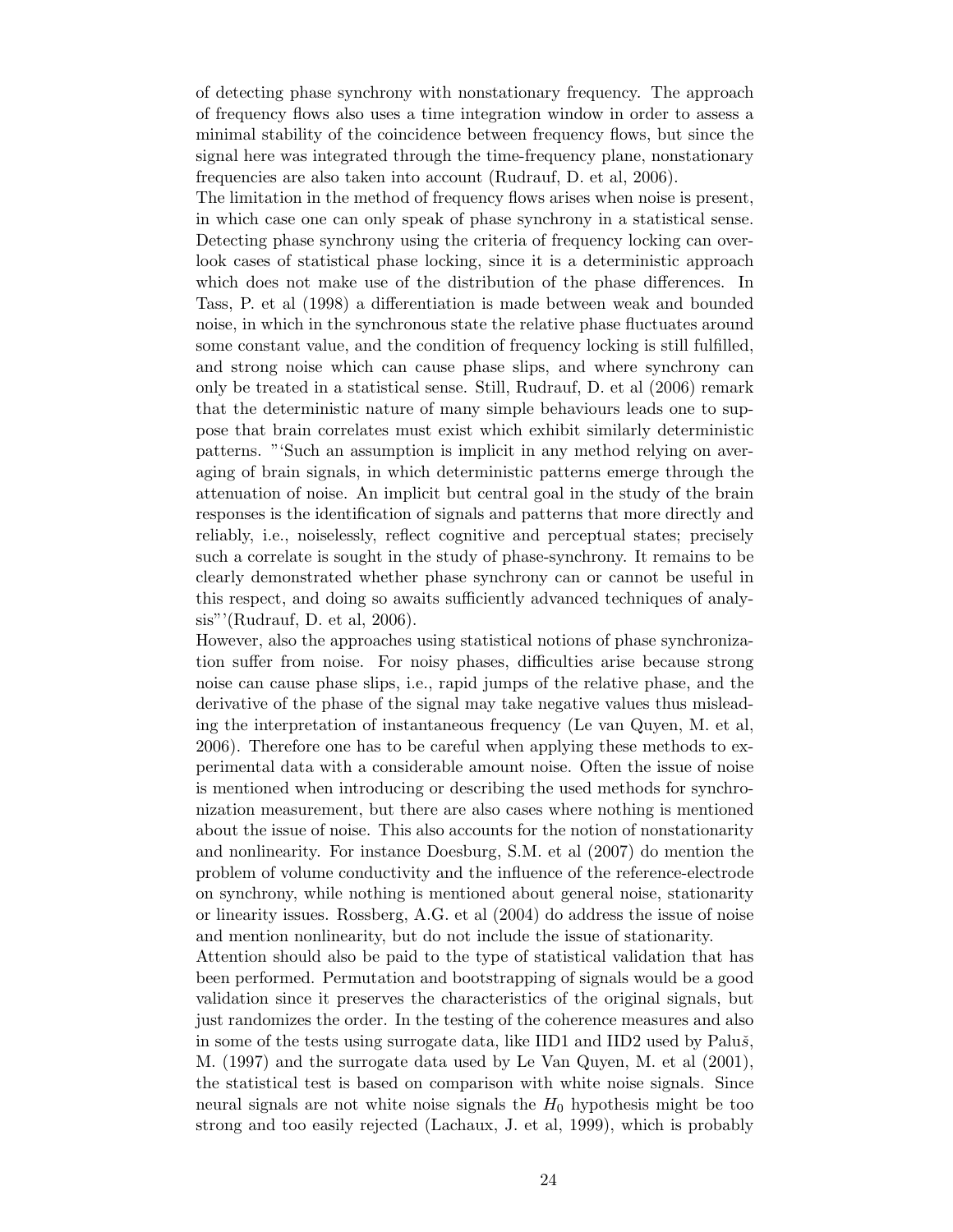of detecting phase synchrony with nonstationary frequency. The approach of frequency flows also uses a time integration window in order to assess a minimal stability of the coincidence between frequency flows, but since the signal here was integrated through the time-frequency plane, nonstationary frequencies are also taken into account (Rudrauf, D. et al, 2006).

The limitation in the method of frequency flows arises when noise is present, in which case one can only speak of phase synchrony in a statistical sense. Detecting phase synchrony using the criteria of frequency locking can overlook cases of statistical phase locking, since it is a deterministic approach which does not make use of the distribution of the phase differences. In Tass, P. et al (1998) a differentiation is made between weak and bounded noise, in which in the synchronous state the relative phase fluctuates around some constant value, and the condition of frequency locking is still fulfilled, and strong noise which can cause phase slips, and where synchrony can only be treated in a statistical sense. Still, Rudrauf, D. et al (2006) remark that the deterministic nature of many simple behaviours leads one to suppose that brain correlates must exist which exhibit similarly deterministic patterns. "'Such an assumption is implicit in any method relying on averaging of brain signals, in which deterministic patterns emerge through the attenuation of noise. An implicit but central goal in the study of the brain responses is the identification of signals and patterns that more directly and reliably, i.e., noiselessly, reflect cognitive and perceptual states; precisely such a correlate is sought in the study of phase-synchrony. It remains to be clearly demonstrated whether phase synchrony can or cannot be useful in this respect, and doing so awaits sufficiently advanced techniques of analysis"'(Rudrauf, D. et al, 2006).

However, also the approaches using statistical notions of phase synchronization suffer from noise. For noisy phases, difficulties arise because strong noise can cause phase slips, i.e., rapid jumps of the relative phase, and the derivative of the phase of the signal may take negative values thus misleading the interpretation of instantaneous frequency (Le van Quyen, M. et al, 2006). Therefore one has to be careful when applying these methods to experimental data with a considerable amount noise. Often the issue of noise is mentioned when introducing or describing the used methods for synchronization measurement, but there are also cases where nothing is mentioned about the issue of noise. This also accounts for the notion of nonstationarity and nonlinearity. For instance Doesburg, S.M. et al (2007) do mention the problem of volume conductivity and the influence of the reference-electrode on synchrony, while nothing is mentioned about general noise, stationarity or linearity issues. Rossberg, A.G. et al (2004) do address the issue of noise and mention nonlinearity, but do not include the issue of stationarity.

Attention should also be paid to the type of statistical validation that has been performed. Permutation and bootstrapping of signals would be a good validation since it preserves the characteristics of the original signals, but just randomizes the order. In the testing of the coherence measures and also in some of the tests using surrogate data, like IID1 and IID2 used by Palu $\check{s}$ , M. (1997) and the surrogate data used by Le Van Quyen, M. et al (2001), the statistical test is based on comparison with white noise signals. Since neural signals are not white noise signals the  $H_0$  hypothesis might be too strong and too easily rejected (Lachaux, J. et al, 1999), which is probably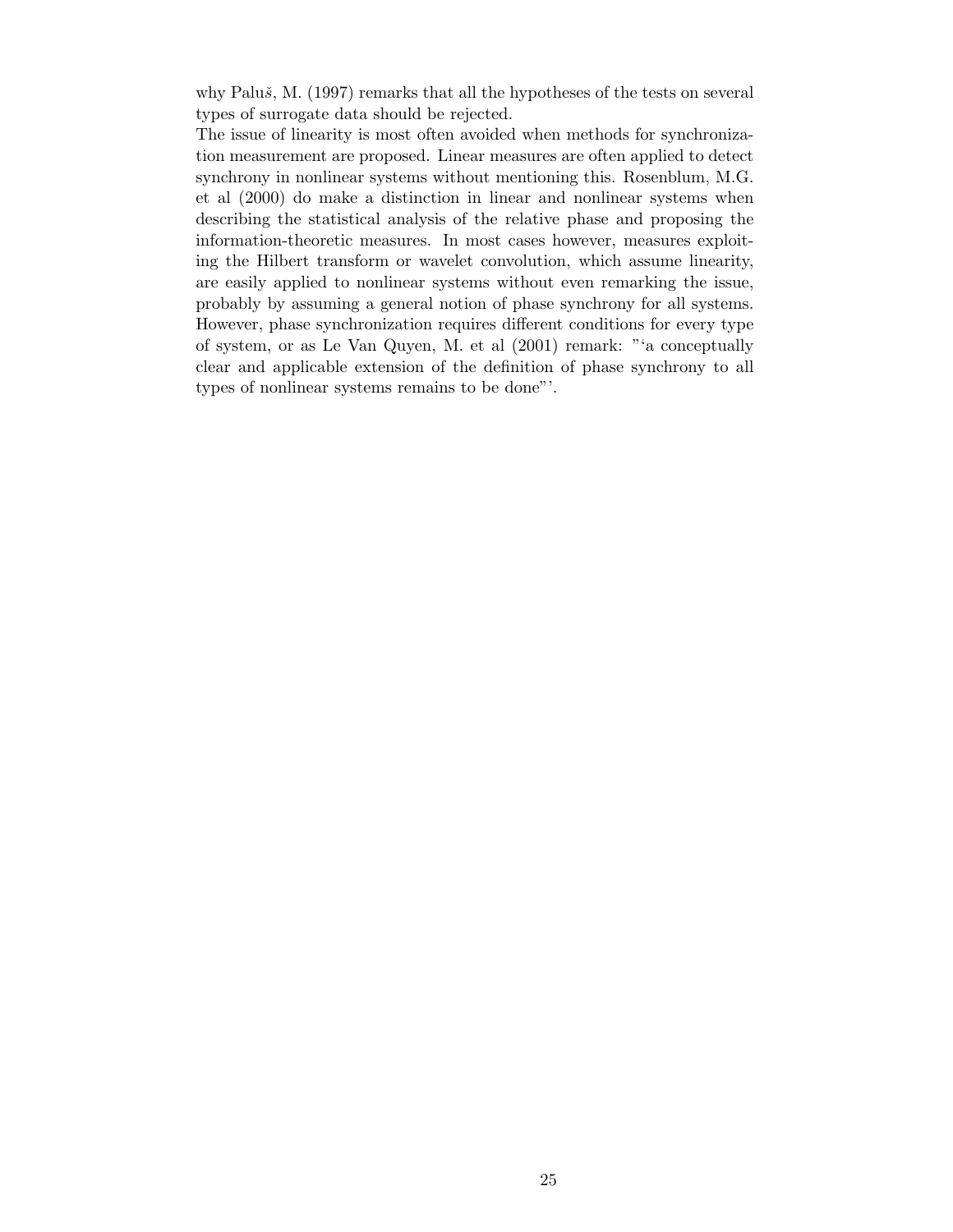why Paluš, M.  $(1997)$  remarks that all the hypotheses of the tests on several types of surrogate data should be rejected.

The issue of linearity is most often avoided when methods for synchronization measurement are proposed. Linear measures are often applied to detect synchrony in nonlinear systems without mentioning this. Rosenblum, M.G. et al (2000) do make a distinction in linear and nonlinear systems when describing the statistical analysis of the relative phase and proposing the information-theoretic measures. In most cases however, measures exploiting the Hilbert transform or wavelet convolution, which assume linearity, are easily applied to nonlinear systems without even remarking the issue, probably by assuming a general notion of phase synchrony for all systems. However, phase synchronization requires different conditions for every type of system, or as Le Van Quyen, M. et al (2001) remark: "'a conceptually clear and applicable extension of the definition of phase synchrony to all types of nonlinear systems remains to be done"'.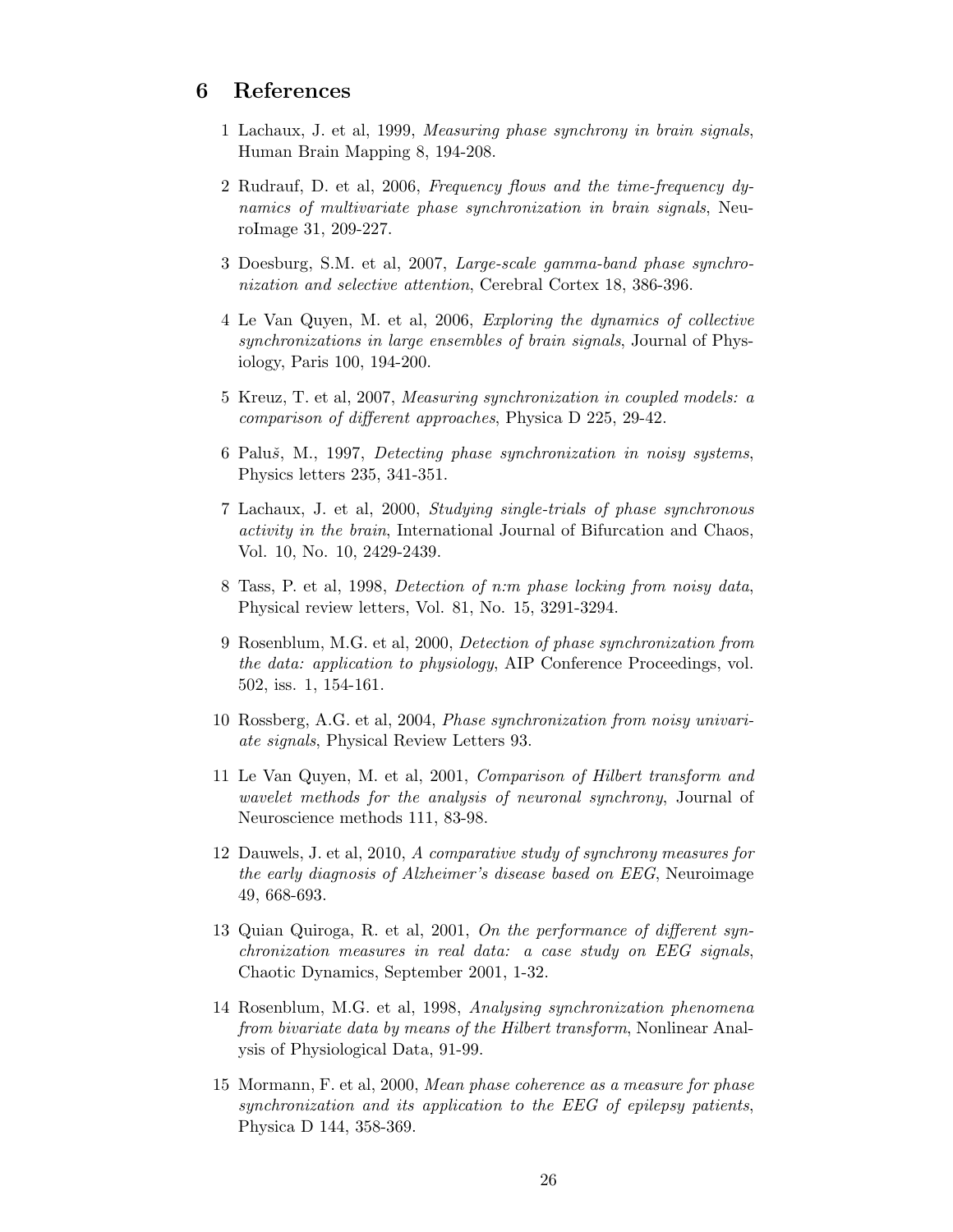## 6 References

- 1 Lachaux, J. et al, 1999, Measuring phase synchrony in brain signals, Human Brain Mapping 8, 194-208.
- 2 Rudrauf, D. et al, 2006, Frequency flows and the time-frequency dynamics of multivariate phase synchronization in brain signals, NeuroImage 31, 209-227.
- 3 Doesburg, S.M. et al, 2007, Large-scale gamma-band phase synchronization and selective attention, Cerebral Cortex 18, 386-396.
- 4 Le Van Quyen, M. et al, 2006, Exploring the dynamics of collective synchronizations in large ensembles of brain signals, Journal of Physiology, Paris 100, 194-200.
- 5 Kreuz, T. et al, 2007, Measuring synchronization in coupled models: a comparison of different approaches, Physica D 225, 29-42.
- 6 Paluš, M., 1997, Detecting phase synchronization in noisy systems, Physics letters 235, 341-351.
- 7 Lachaux, J. et al, 2000, Studying single-trials of phase synchronous activity in the brain, International Journal of Bifurcation and Chaos, Vol. 10, No. 10, 2429-2439.
- 8 Tass, P. et al, 1998, Detection of n:m phase locking from noisy data, Physical review letters, Vol. 81, No. 15, 3291-3294.
- 9 Rosenblum, M.G. et al, 2000, Detection of phase synchronization from the data: application to physiology, AIP Conference Proceedings, vol. 502, iss. 1, 154-161.
- 10 Rossberg, A.G. et al, 2004, Phase synchronization from noisy univariate signals, Physical Review Letters 93.
- 11 Le Van Quyen, M. et al, 2001, Comparison of Hilbert transform and wavelet methods for the analysis of neuronal synchrony, Journal of Neuroscience methods 111, 83-98.
- 12 Dauwels, J. et al, 2010, A comparative study of synchrony measures for the early diagnosis of Alzheimer's disease based on EEG, Neuroimage 49, 668-693.
- 13 Quian Quiroga, R. et al, 2001, On the performance of different synchronization measures in real data: a case study on EEG signals, Chaotic Dynamics, September 2001, 1-32.
- 14 Rosenblum, M.G. et al, 1998, Analysing synchronization phenomena from bivariate data by means of the Hilbert transform, Nonlinear Analysis of Physiological Data, 91-99.
- 15 Mormann, F. et al, 2000, Mean phase coherence as a measure for phase synchronization and its application to the EEG of epilepsy patients, Physica D 144, 358-369.